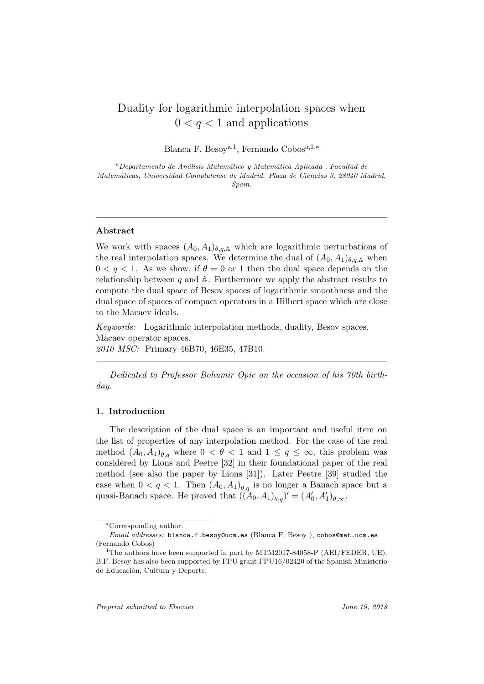# Duality for logarithmic interpolation spaces when  $0 < q < 1$  and applications

Blanca F. Besoy<sup>a,1</sup>, Fernando Cobos<sup>a,1,\*</sup>

<sup>a</sup>Departamento de Análisis Matemático y Matemática Aplicada, Facultad de Matem´aticas, Universidad Complutense de Madrid. Plaza de Ciencias 3, 28040 Madrid, Spain.

## Abstract

We work with spaces  $(A_0, A_1)_{\theta, q, \mathbb{A}}$  which are logarithmic perturbations of the real interpolation spaces. We determine the dual of  $(A_0, A_1)_{\theta, q, \mathbb{A}}$  when  $0 < q < 1$ . As we show, if  $\theta = 0$  or 1 then the dual space depends on the relationship between  $q$  and  $\mathbb{A}$ . Furthermore we apply the abstract results to compute the dual space of Besov spaces of logarithmic smoothness and the dual space of spaces of compact operators in a Hilbert space which are close to the Macaev ideals.

Keywords: Logarithmic interpolation methods, duality, Besov spaces, Macaev operator spaces. 2010 MSC: Primary 46B70, 46E35, 47B10.

Dedicated to Professor Bohumir Opic on the occasion of his 70th birthday.

## 1. Introduction

The description of the dual space is an important and useful item on the list of properties of any interpolation method. For the case of the real method  $(A_0, A_1)_{\theta,q}$  where  $0 < \theta < 1$  and  $1 \leq q \leq \infty$ , this problem was considered by Lions and Peetre [32] in their foundational paper of the real method (see also the paper by Lions [31]). Later Peetre [39] studied the case when  $0 < q < 1$ . Then  $(A_0, A_1)_{\theta, q}$  is no longer a Banach space but a quasi-Banach space. He proved that  $((A_0, A_1)_{\theta,q})' = (A'_0, A'_1)_{\theta,\infty}$ .

<sup>∗</sup>Corresponding author.

Email addresses: blanca.f.besoy@ucm.es (Blanca F. Besoy ), cobos@mat.ucm.es (Fernando Cobos)

<sup>&</sup>lt;sup>1</sup>The authors have been supported in part by MTM2017-84058-P (AEI/FEDER, UE). B.F. Besoy has also been supported by FPU grant FPU16/02420 of the Spanish Ministerio de Educación, Cultura y Deporte.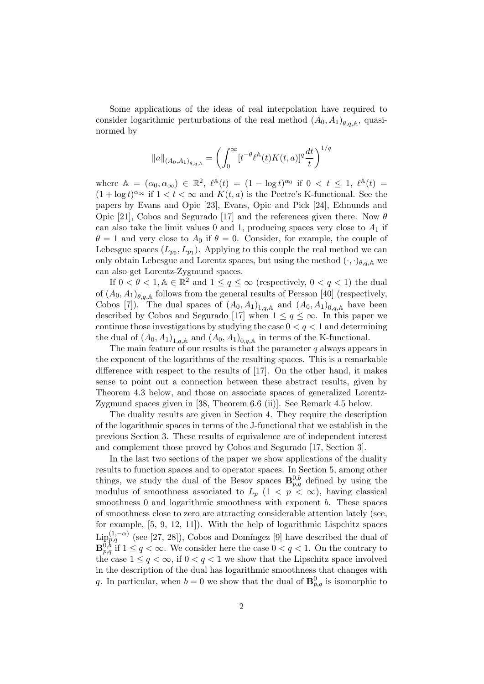Some applications of the ideas of real interpolation have required to consider logarithmic perturbations of the real method  $(A_0, A_1)_{\theta, q, \mathbb{A}}$ , quasinormed by

$$
\|a\|_{(A_0,A_1)_{\theta,q,\mathbb{A}}} = \left(\int_0^\infty [t^{-\theta} \ell^{\mathbb{A}}(t) K(t,a)]^q \frac{dt}{t}\right)^{1/q}
$$

where  $\mathbb{A} = (\alpha_0, \alpha_{\infty}) \in \mathbb{R}^2$ ,  $\ell^{\mathbb{A}}(t) = (1 - \log t)^{\alpha_0}$  if  $0 < t \leq 1$ ,  $\ell^{\mathbb{A}}(t) =$  $(1 + \log t)^{\alpha_{\infty}}$  if  $1 < t < \infty$  and  $K(t, a)$  is the Peetre's K-functional. See the papers by Evans and Opic [23], Evans, Opic and Pick [24], Edmunds and Opic [21], Cobos and Segurado [17] and the references given there. Now  $\theta$ can also take the limit values 0 and 1, producing spaces very close to  $A_1$  if  $\theta = 1$  and very close to  $A_0$  if  $\theta = 0$ . Consider, for example, the couple of Lebesgue spaces  $(L_{p_0}, L_{p_1})$ . Applying to this couple the real method we can only obtain Lebesgue and Lorentz spaces, but using the method  $(\cdot, \cdot)_{\theta,q,\mathbb{A}}$  we can also get Lorentz-Zygmund spaces.

If  $0 < \theta < 1, \mathbb{A} \in \mathbb{R}^2$  and  $1 \leq q \leq \infty$  (respectively,  $0 < q < 1$ ) the dual of  $(A_0, A_1)_{\theta, q, \mathbb{A}}$  follows from the general results of Persson [40] (respectively, Cobos [7]). The dual spaces of  $(A_0, A_1)_{1,q,\mathbb{A}}$  and  $(A_0, A_1)_{0,q,\mathbb{A}}$  have been described by Cobos and Segurado [17] when  $1 \leq q \leq \infty$ . In this paper we continue those investigations by studying the case  $0 < q < 1$  and determining the dual of  $(A_0, A_1)_{1,q,\mathbb{A}}$  and  $(A_0, A_1)_{0,q,\mathbb{A}}$  in terms of the K-functional.

The main feature of our results is that the parameter  $q$  always appears in the exponent of the logarithms of the resulting spaces. This is a remarkable difference with respect to the results of [17]. On the other hand, it makes sense to point out a connection between these abstract results, given by Theorem 4.3 below, and those on associate spaces of generalized Lorentz-Zygmund spaces given in [38, Theorem 6.6 (ii)]. See Remark 4.5 below.

The duality results are given in Section 4. They require the description of the logarithmic spaces in terms of the J-functional that we establish in the previous Section 3. These results of equivalence are of independent interest and complement those proved by Cobos and Segurado [17, Section 3].

In the last two sections of the paper we show applications of the duality results to function spaces and to operator spaces. In Section 5, among other things, we study the dual of the Besov spaces  $\mathbf{B}_{p,q}^{0,b}$  defined by using the modulus of smoothness associated to  $L_p$  (1 <  $p \leq \infty$ ), having classical smoothness 0 and logarithmic smoothness with exponent b. These spaces of smoothness close to zero are attracting considerable attention lately (see, for example, [5, 9, 12, 11]). With the help of logarithmic Lispchitz spaces  $\text{Lip}_{p,q}^{(1,-\alpha)}$  (see [27, 28]), Cobos and Domíngez [9] have described the dual of  $\mathbf{B}_{p,q}^{0,b}$  if  $1 \leq q < \infty$ . We consider here the case  $0 < q < 1$ . On the contrary to the case  $1 \leq q < \infty$ , if  $0 < q < 1$  we show that the Lipschitz space involved in the description of the dual has logarithmic smoothness that changes with q. In particular, when  $b = 0$  we show that the dual of  $\mathbf{B}_{p,q}^0$  is isomorphic to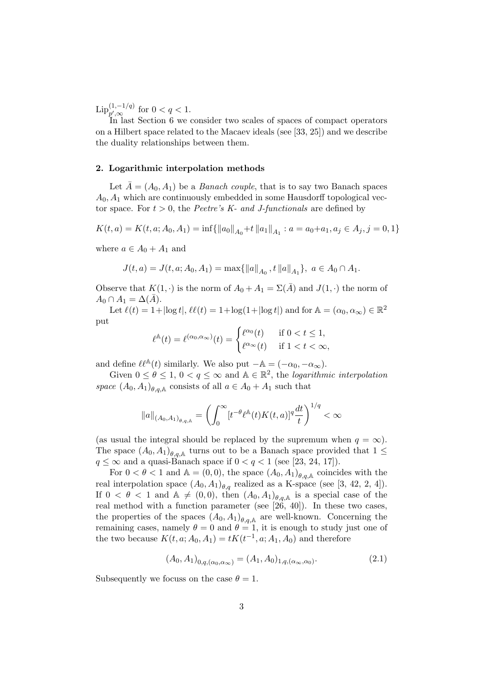Lip<sup> $(1,-1/q)$ </sup> for  $0 < q < 1$ .

In last Section 6 we consider two scales of spaces of compact operators on a Hilbert space related to the Macaev ideals (see [33, 25]) and we describe the duality relationships between them.

#### 2. Logarithmic interpolation methods

Let  $\bar{A} = (A_0, A_1)$  be a *Banach couple*, that is to say two Banach spaces  $A_0$ ,  $A_1$  which are continuously embedded in some Hausdorff topological vector space. For  $t > 0$ , the *Peetre's K- and J-functionals* are defined by

$$
K(t, a) = K(t, a; A_0, A_1) = \inf \{ ||a_0||_{A_0} + t ||a_1||_{A_1} : a = a_0 + a_1, a_j \in A_j, j = 0, 1 \}
$$

where  $a \in A_0 + A_1$  and

$$
J(t,a) = J(t,a;A_0,A_1) = \max\{\|a\|_{A_0}, t\,\|a\|_{A_1}\},\ a \in A_0 \cap A_1.
$$

Observe that  $K(1, \cdot)$  is the norm of  $A_0 + A_1 = \Sigma(\overline{A})$  and  $J(1, \cdot)$  the norm of  $A_0 \cap A_1 = \Delta(\bar{A}).$ 

Let  $\ell(t) = 1+|\log t|, \, \ell(\ell(t)) = 1+ \log(1+|\log t|)$  and for  $\mathbb{A} = (\alpha_0, \alpha_\infty) \in \mathbb{R}^2$ put

$$
\ell^{\mathbb{A}}(t) = \ell^{(\alpha_0, \alpha_{\infty})}(t) = \begin{cases} \ell^{\alpha_0}(t) & \text{if } 0 < t \le 1, \\ \ell^{\alpha_{\infty}}(t) & \text{if } 1 < t < \infty, \end{cases}
$$

and define  $\ell\ell^{\mathbb{A}}(t)$  similarly. We also put  $-\mathbb{A} = (-\alpha_0, -\alpha_\infty)$ .

Given  $0 \le \theta \le 1, 0 < q \le \infty$  and  $\mathbb{A} \in \mathbb{R}^2$ , the *logarithmic interpolation* space  $(A_0, A_1)_{\theta, q, \mathbb{A}}$  consists of all  $a \in A_0 + A_1$  such that

$$
||a||_{(A_0,A_1)_{\theta,q,\mathbb{A}}} = \left(\int_0^\infty [t^{-\theta} \ell^{\mathbb{A}}(t) K(t,a)]^q \frac{dt}{t}\right)^{1/q} < \infty
$$

(as usual the integral should be replaced by the supremum when  $q = \infty$ ). The space  $(A_0, A_1)_{\theta, q, \mathbb{A}}$  turns out to be a Banach space provided that  $1 \leq$  $q \leq \infty$  and a quasi-Banach space if  $0 < q < 1$  (see [23, 24, 17]).

For  $0 < \theta < 1$  and  $\mathbb{A} = (0,0)$ , the space  $(A_0, A_1)_{\theta, q, \mathbb{A}}$  coincides with the real interpolation space  $(A_0, A_1)_{\theta,q}$  realized as a K-space (see [3, 42, 2, 4]). If  $0 < \theta < 1$  and  $\mathbb{A} \neq (0,0)$ , then  $(A_0, A_1)_{\theta,q,\mathbb{A}}$  is a special case of the real method with a function parameter (see [26, 40]). In these two cases, the properties of the spaces  $(A_0, A_1)_{\theta, q, \mathbb{A}}$  are well-known. Concerning the remaining cases, namely  $\theta = 0$  and  $\theta = 1$ , it is enough to study just one of the two because  $K(t, a; A_0, A_1) = tK(t^{-1}, a; A_1, A_0)$  and therefore

$$
(A_0, A_1)_{0,q,(\alpha_0,\alpha_\infty)} = (A_1, A_0)_{1,q,(\alpha_\infty,\alpha_0)}.\tag{2.1}
$$

Subsequently we focuss on the case  $\theta = 1$ .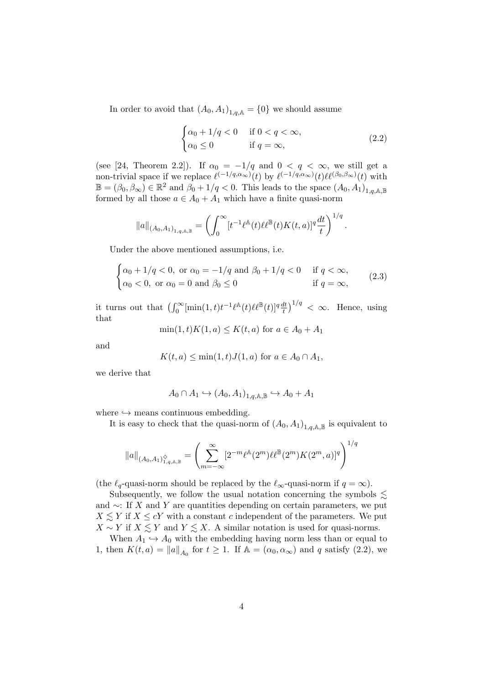In order to avoid that  $(A_0, A_1)_{1,q,\mathbb{A}} = \{0\}$  we should assume

$$
\begin{cases} \alpha_0 + 1/q < 0 \quad \text{if } 0 < q < \infty, \\ \alpha_0 \le 0 & \text{if } q = \infty, \end{cases} \tag{2.2}
$$

(see [24, Theorem 2.2]). If  $\alpha_0 = -1/q$  and  $0 < q < \infty$ , we still get a non-trivial space if we replace  $\ell^{(-1/q,\alpha_{\infty})}(t)$  by  $\ell^{(-1/q,\alpha_{\infty})}(t) \ell^{(\beta_0,\beta_{\infty})}(t)$  with  $\mathbb{B} = (\beta_0, \beta_{\infty}) \in \mathbb{R}^2$  and  $\beta_0 + 1/q < 0$ . This leads to the space  $(A_0, A_1)_{1,q,\mathbb{A},\mathbb{B}}$ formed by all those  $a \in A_0 + A_1$  which have a finite quasi-norm

$$
||a||_{(A_0,A_1)_{1,q,\mathbb{A},\mathbb{B}}} = \left(\int_0^\infty [t^{-1}\ell^{\mathbb{A}}(t)\ell\ell^{\mathbb{B}}(t)K(t,a)]^q\frac{dt}{t}\right)^{1/q}.
$$

Under the above mentioned assumptions, i.e.

$$
\begin{cases} \alpha_0 + 1/q < 0, \text{ or } \alpha_0 = -1/q \text{ and } \beta_0 + 1/q < 0 \quad \text{if } q < \infty, \\ \alpha_0 < 0, \text{ or } \alpha_0 = 0 \text{ and } \beta_0 \le 0 \quad \text{if } q = \infty, \end{cases} \tag{2.3}
$$

it turns out that  $\left(\int_0^\infty [\min(1, t)t^{-1} \ell^{\mathbb{A}}(t) \ell \ell^{\mathbb{B}}(t)]^q \frac{dt}{t}\right)^{1/q} < \infty$ . Hence, using that

$$
\min(1, t)K(1, a) \le K(t, a) \text{ for } a \in A_0 + A_1
$$

and

$$
K(t, a) \le \min(1, t)J(1, a) \text{ for } a \in A_0 \cap A_1,
$$

we derive that

$$
A_0 \cap A_1 \hookrightarrow (A_0, A_1)_{1,q,\mathbb{A},\mathbb{B}} \hookrightarrow A_0 + A_1
$$

where  $\leftrightarrow$  means continuous embedding.

It is easy to check that the quasi-norm of  $(A_0, A_1)_{1,q,\mathbb{A},\mathbb{B}}$  is equivalent to

$$
\|a\|_{(A_0,A_1)_{1,q,{\mathbb{A}}, {\mathbb{B}}}^{\diamondsuit}} = \left(\sum_{m=-\infty}^{\infty} [2^{-m}\ell^{\mathbb{A}}(2^m)\ell\ell^{\mathbb{B}}(2^m)K(2^m,a)]^q\right)^{1/q}
$$

(the  $\ell_q$ -quasi-norm should be replaced by the  $\ell_\infty$ -quasi-norm if  $q = \infty$ ).

Subsequently, we follow the usual notation concerning the symbols  $\lesssim$ and  $\sim$ : If X and Y are quantities depending on certain parameters, we put  $X \leq Y$  if  $X \leq cY$  with a constant c independent of the parameters. We put  $X \sim Y$  if  $X \leq Y$  and  $Y \leq X$ . A similar notation is used for quasi-norms.

When  $A_1 \hookrightarrow A_0$  with the embedding having norm less than or equal to 1, then  $K(t, a) = ||a||_{A_0}$  for  $t \ge 1$ . If  $\mathbb{A} = (\alpha_0, \alpha_\infty)$  and q satisfy (2.2), we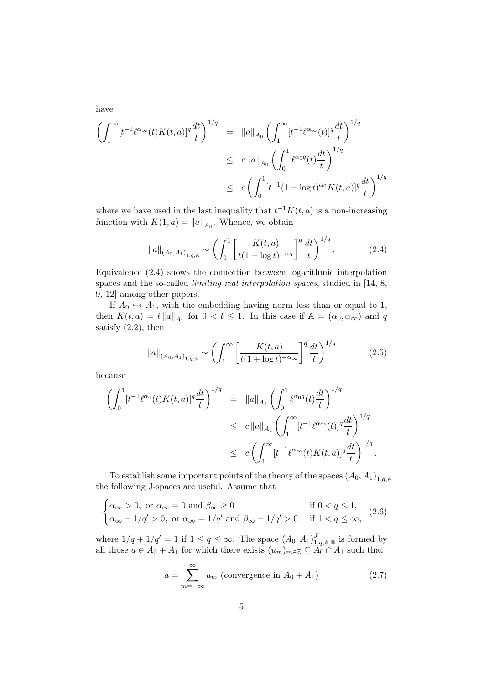have

$$
\begin{aligned}\n\left(\int_{1}^{\infty} [t^{-1}\ell^{\alpha_{\infty}}(t)K(t,a)]^{q} \frac{dt}{t}\right)^{1/q} &= \|a\|_{A_{0}} \left(\int_{1}^{\infty} [t^{-1}\ell^{\alpha_{\infty}}(t)]^{q} \frac{dt}{t}\right)^{1/q} \\
&\leq c \|a\|_{A_{0}} \left(\int_{0}^{1} \ell^{\alpha_{0}q}(t) \frac{dt}{t}\right)^{1/q} \\
&\leq c \left(\int_{0}^{1} [t^{-1}(1-\log t)^{\alpha_{0}} K(t,a)]^{q} \frac{dt}{t}\right)^{1/q}\n\end{aligned}
$$

where we have used in the last inequality that  $t^{-1}K(t, a)$  is a non-increasing function with  $K(1, a) = ||a||_{A_0}$ . Whence, we obtain

$$
\|a\|_{(A_0, A_1)_{1,q,\mathbb{A}}} \sim \left(\int_0^1 \left[\frac{K(t,a)}{t(1-\log t)^{-\alpha_0}}\right]^q \frac{dt}{t}\right)^{1/q}.\tag{2.4}
$$

Equivalence (2.4) shows the connection between logarithmic interpolation spaces and the so-called *limiting real interpolation spaces*, studied in [14, 8, 9, 12] among other papers.

If  $A_0 \hookrightarrow A_1$ , with the embedding having norm less than or equal to 1, then  $K(t, a) = t ||a||_{A_1}$  for  $0 < t \leq 1$ . In this case if  $\mathbb{A} = (\alpha_0, \alpha_\infty)$  and q satisfy  $(2.2)$ , then

$$
\|a\|_{(A_0,A_1)_{1,q,\mathbb{A}}} \sim \left(\int_1^\infty \left[\frac{K(t,a)}{t(1+\log t)^{-\alpha_\infty}}\right]^q \frac{dt}{t}\right)^{1/q} \tag{2.5}
$$

because

$$
\left(\int_0^1 [t^{-1}\ell^{\alpha_0}(t)K(t,a)]^q \frac{dt}{t}\right)^{1/q} = ||a||_{A_1} \left(\int_0^1 \ell^{\alpha_0 q}(t) \frac{dt}{t}\right)^{1/q}
$$
  

$$
\leq c ||a||_{A_1} \left(\int_1^\infty [t^{-1}\ell^{\alpha_\infty}(t)]^q \frac{dt}{t}\right)^{1/q}
$$
  

$$
\leq c \left(\int_1^\infty [t^{-1}\ell^{\alpha_\infty}(t)K(t,a)]^q \frac{dt}{t}\right)^{1/q}.
$$

To establish some important points of the theory of the spaces  $(A_0, A_1)_{1,q,\mathbb{A}}$ the following J-spaces are useful. Assume that

$$
\begin{cases} \alpha_{\infty} > 0, \text{ or } \alpha_{\infty} = 0 \text{ and } \beta_{\infty} \ge 0 & \text{if } 0 < q \le 1, \\ \alpha_{\infty} - 1/q' > 0, \text{ or } \alpha_{\infty} = 1/q' \text{ and } \beta_{\infty} - 1/q' > 0 & \text{if } 1 < q \le \infty, \end{cases}
$$
 (2.6)

where  $1/q + 1/q' = 1$  if  $1 \le q \le \infty$ . The space  $(A_0, A_1)_{1,q,\mathbb{A},\mathbb{B}}^J$  is formed by all those  $a \in A_0 + A_1$  for which there exists  $(u_m)_{m \in \mathbb{Z}} \subseteq A_0 \cap A_1$  such that

$$
a = \sum_{m=-\infty}^{\infty} u_m \text{ (convergence in } A_0 + A_1\text{)}
$$
 (2.7)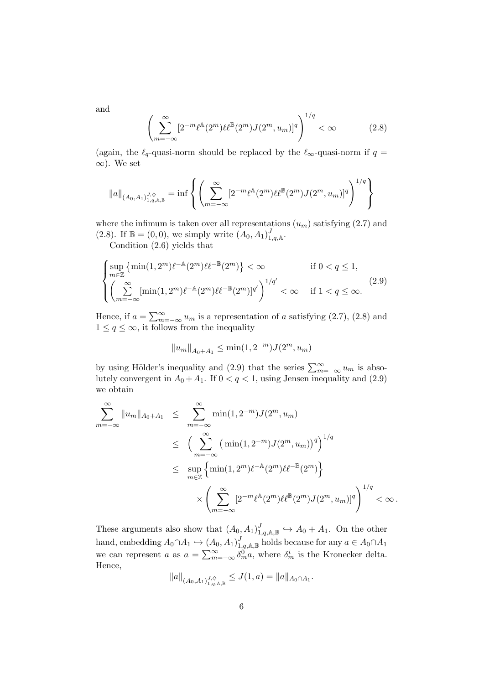and

$$
\left(\sum_{m=-\infty}^{\infty} [2^{-m}\ell^{\mathbb{A}}(2^m)\ell\ell^{\mathbb{B}}(2^m)J(2^m,u_m)]^q\right)^{1/q} < \infty \tag{2.8}
$$

(again, the  $\ell_q$ -quasi-norm should be replaced by the  $\ell_\infty$ -quasi-norm if  $q =$  $\infty$ ). We set

$$
||a||_{(A_0,A_1)_{1,q,{\mathbb{A}}, {\mathbb{B}}}^{J,\diamondsuit}} = \inf \left\{ \left( \sum_{m=-\infty}^{\infty} [2^{-m} \ell^{{\mathbb{A}}} (2^m) \ell \ell^{{\mathbb{B}}} (2^m) J(2^m,u_m)]^q \right)^{1/q} \right\}
$$

where the infimum is taken over all representations  $(u_m)$  satisfying  $(2.7)$  and (2.8). If  $\mathbb{B} = (0,0)$ , we simply write  $(A_0, A_1)_{1,q,\mathbb{A}}^J$ .

Condition (2.6) yields that

$$
\begin{cases}\n\sup_{m\in\mathbb{Z}} \left\{ \min(1, 2^m)\ell^{-\mathbb{A}}(2^m)\ell\ell^{-\mathbb{B}}(2^m) \right\} < \infty & \text{if } 0 < q \le 1, \\
\left( \sum_{m=-\infty}^{\infty} \left[ \min(1, 2^m)\ell^{-\mathbb{A}}(2^m)\ell\ell^{-\mathbb{B}}(2^m) \right]^{q'} \right)^{1/q'} < \infty & \text{if } 1 < q \le \infty.\n\end{cases}\n\tag{2.9}
$$

Hence, if  $a = \sum_{m=-\infty}^{\infty} u_m$  is a representation of a satisfying (2.7), (2.8) and  $1\leq q\leq\infty,$  it follows from the inequality

$$
||u_m||_{A_0+A_1} \le \min(1, 2^{-m}) J(2^m, u_m)
$$

by using Hölder's inequality and (2.9) that the series  $\sum_{m=-\infty}^{\infty} u_m$  is absolutely convergent in  $A_0 + A_1$ . If  $0 < q < 1$ , using Jensen inequality and (2.9) we obtain

$$
\sum_{m=-\infty}^{\infty} \|u_m\|_{A_0+A_1} \leq \sum_{m=-\infty}^{\infty} \min(1, 2^{-m}) J(2^m, u_m)
$$
  

$$
\leq \left(\sum_{m=-\infty}^{\infty} \left(\min(1, 2^{-m}) J(2^m, u_m)\right)^q\right)^{1/q}
$$
  

$$
\leq \sup_{m\in\mathbb{Z}} \left\{\min(1, 2^m) \ell^{-\mathbb{A}} (2^m) \ell \ell^{-\mathbb{B}} (2^m)\right\}
$$
  

$$
\times \left(\sum_{m=-\infty}^{\infty} [2^{-m} \ell^{\mathbb{A}} (2^m) \ell \ell^{\mathbb{B}} (2^m) J(2^m, u_m)]^q\right)^{1/q} < \infty.
$$

These arguments also show that  $(A_0, A_1)_{1,q,\mathbb{A},\mathbb{B}}^J \hookrightarrow A_0 + A_1$ . On the other hand, embedding  $A_0 \cap A_1 \hookrightarrow (A_0, A_1)_{1,q,\mathbb{A},\mathbb{B}}^J$  holds because for any  $a \in A_0 \cap A_1$ we can represent a as  $a = \sum_{m=-\infty}^{\infty} \delta_m^{\hat{0}} a$ , where  $\delta_m^i$  is the Kronecker delta. Hence,

$$
||a||_{(A_0,A_1)_{1,q,{\mathbb{A}}, {\mathbb{B}}}^{J,\diamondsuit}} \leq J(1,a) = ||a||_{A_0 \cap A_1}.
$$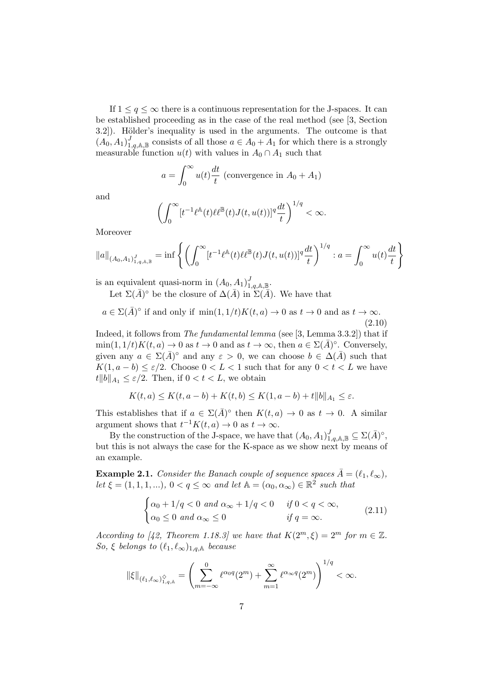If  $1 \leq q \leq \infty$  there is a continuous representation for the J-spaces. It can be established proceeding as in the case of the real method (see [3, Section 3.2]). Hölder's inequality is used in the arguments. The outcome is that  $(A_0, A_1)_{1,q,\mathbb{A},\mathbb{B}}^J$  consists of all those  $a \in A_0 + A_1$  for which there is a strongly measurable function  $u(t)$  with values in  $A_0 \cap A_1$  such that

$$
a = \int_0^\infty u(t) \frac{dt}{t}
$$
 (convergence in  $A_0 + A_1$ )

and

$$
\left(\int_0^\infty [t^{-1}\ell^{\mathbb{A}}(t)\ell\ell^{\mathbb{B}}(t)J(t,u(t))]^q\frac{dt}{t}\right)^{1/q} < \infty.
$$

Moreover

$$
\|a\|_{(A_0,A_1)_{1,q,\mathbb{A},\mathbb{B}}^J} = \inf \left\{ \left( \int_0^\infty [t^{-1} \ell^{\mathbb{A}}(t) \ell \ell^{\mathbb{B}}(t) J(t,u(t))]^q \frac{dt}{t} \right)^{1/q} : a = \int_0^\infty u(t) \frac{dt}{t} \right\}
$$

is an equivalent quasi-norm in  $(A_0, A_1)_{1,q,\mathbb{A},\mathbb{B}}^J$ .

Let  $\Sigma(\bar{A})^{\circ}$  be the closure of  $\Delta(\bar{A})$  in  $\Sigma(\bar{A})$ . We have that

 $a \in \Sigma(\overline{A})^{\circ}$  if and only if  $\min(1, 1/t)K(t, a) \to 0$  as  $t \to 0$  and as  $t \to \infty$ . (2.10)

Indeed, it follows from The fundamental lemma (see [3, Lemma 3.3.2]) that if  $\min(1,1/t)K(t,a) \to 0$  as  $t \to 0$  and as  $t \to \infty$ , then  $a \in \Sigma(\overline{A})^{\circ}$ . Conversely, given any  $a \in \Sigma(\bar{A})^{\circ}$  and any  $\varepsilon > 0$ , we can choose  $b \in \Delta(\bar{A})$  such that  $K(1, a - b) \leq \varepsilon/2$ . Choose  $0 < L < 1$  such that for any  $0 < t < L$  we have  $t||b||_{A_1} \leq \varepsilon/2$ . Then, if  $0 < t < L$ , we obtain

$$
K(t, a) \le K(t, a - b) + K(t, b) \le K(1, a - b) + t ||b||_{A_1} \le \varepsilon.
$$

This establishes that if  $a \in \Sigma(\overline{A})^{\circ}$  then  $K(t, a) \to 0$  as  $t \to 0$ . A similar argument shows that  $t^{-1}K(t, a) \to 0$  as  $t \to \infty$ .

By the construction of the J-space, we have that  $(A_0, A_1)_{1,q,\mathbb{A},\mathbb{B}}^J \subseteq \Sigma(\bar{A})^{\circ}$ , but this is not always the case for the K-space as we show next by means of an example.

**Example 2.1.** Consider the Banach couple of sequence spaces  $\bar{A} = (\ell_1, \ell_\infty)$ , let  $\xi = (1, 1, 1, ...)$ ,  $0 < q \le \infty$  and let  $\mathbb{A} = (\alpha_0, \alpha_\infty) \in \mathbb{R}^2$  such that

$$
\begin{cases} \alpha_0 + 1/q < 0 \text{ and } \alpha_\infty + 1/q < 0 \quad \text{if } 0 < q < \infty, \\ \alpha_0 \le 0 \text{ and } \alpha_\infty \le 0 & \text{if } q = \infty. \end{cases} \tag{2.11}
$$

According to [42, Theorem 1.18.3] we have that  $K(2^m, \xi) = 2^m$  for  $m \in \mathbb{Z}$ . So,  $\xi$  belongs to  $(\ell_1, \ell_\infty)_{1,q,\mathbb{A}}$  because

$$
\|\xi\|_{(\ell_1,\ell_\infty)_{1,q,\mathbb{A}}^\diamondsuit} = \left(\sum_{m=-\infty}^0 \ell^{\alpha_0 q}(2^m) + \sum_{m=1}^\infty \ell^{\alpha_\infty q}(2^m)\right)^{1/q} < \infty.
$$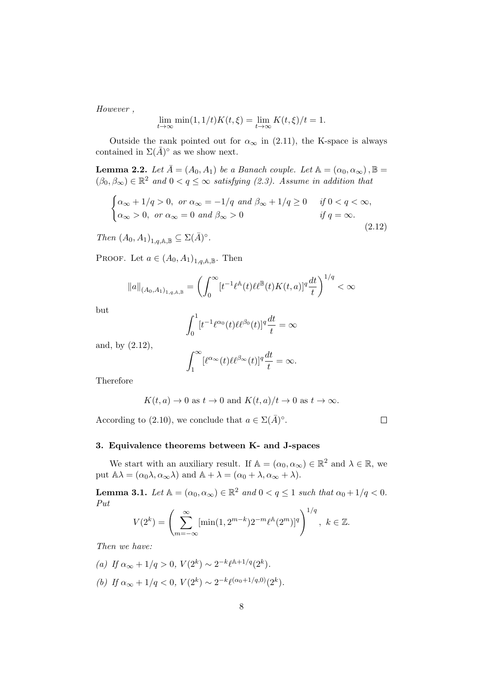However ,

$$
\lim_{t \to \infty} \min(1, 1/t) K(t, \xi) = \lim_{t \to \infty} K(t, \xi) / t = 1.
$$

Outside the rank pointed out for  $\alpha_{\infty}$  in (2.11), the K-space is always contained in  $\Sigma(\bar{A})^{\circ}$  as we show next.

**Lemma 2.2.** Let  $\bar{A} = (A_0, A_1)$  be a Banach couple. Let  $\mathbb{A} = (\alpha_0, \alpha_{\infty}), \mathbb{B} =$  $(\beta_0, \beta_{\infty}) \in \mathbb{R}^2$  and  $0 < q \leq \infty$  satisfying (2.3). Assume in addition that

$$
\begin{cases} \alpha_{\infty} + 1/q > 0, & \text{or } \alpha_{\infty} = -1/q \text{ and } \beta_{\infty} + 1/q \ge 0 & \text{if } 0 < q < \infty, \\ \alpha_{\infty} > 0, & \text{or } \alpha_{\infty} = 0 \text{ and } \beta_{\infty} > 0 & \text{if } q = \infty. \end{cases}
$$
\n(2.12)

Then  $(A_0, A_1)_{1,q,\mathbb{A},\mathbb{B}} \subseteq \Sigma(\overline{A})^{\circ}$ .

PROOF. Let  $a \in (A_0, A_1)_{1,q,\mathbb{A},\mathbb{B}}$ . Then

$$
||a||_{(A_0,A_1)_{1,q,\mathbb{A},\mathbb{B}}} = \left(\int_0^\infty [t^{-1}\ell^{\mathbb{A}}(t)\ell\ell^{\mathbb{B}}(t)K(t,a)]^q\frac{dt}{t}\right)^{1/q} < \infty
$$

but

$$
\int_0^1 [t^{-1}\ell^{\alpha_0}(t)\ell\ell^{\beta_0}(t)]^q \frac{dt}{t} = \infty
$$

and, by (2.12),

$$
\int_1^\infty [\ell^{\alpha_\infty}(t)\ell\ell^{\beta_\infty}(t)]^q\frac{dt}{t}=\infty.
$$

Therefore

$$
K(t, a) \to 0
$$
 as  $t \to 0$  and  $K(t, a)/t \to 0$  as  $t \to \infty$ .

According to (2.10), we conclude that  $a \in \Sigma(\bar{A})^{\circ}$ .

## 3. Equivalence theorems between K- and J-spaces

We start with an auxiliary result. If  $\mathbb{A} = (\alpha_0, \alpha_\infty) \in \mathbb{R}^2$  and  $\lambda \in \mathbb{R}$ , we put  $\mathbb{A}\lambda = (\alpha_0\lambda, \alpha_\infty\lambda)$  and  $\mathbb{A} + \lambda = (\alpha_0 + \lambda, \alpha_\infty + \lambda)$ .

**Lemma 3.1.** Let  $\mathbb{A} = (\alpha_0, \alpha_\infty) \in \mathbb{R}^2$  and  $0 < q \leq 1$  such that  $\alpha_0 + 1/q < 0$ . Put

$$
V(2^{k}) = \left(\sum_{m=-\infty}^{\infty} [\min(1, 2^{m-k}) 2^{-m} \ell^{\mathbb{A}} (2^{m})]^{q}\right)^{1/q}, \ k \in \mathbb{Z}.
$$

Then we have:

(a) If  $\alpha_{\infty} + 1/q > 0$ ,  $V(2^k) \sim 2^{-k} \ell^{A+1/q}(2^k)$ . (b) If  $\alpha_{\infty} + 1/q < 0$ ,  $V(2^k) \sim 2^{-k} \ell^{(\alpha_0 + 1/q, 0)}(2^k)$ .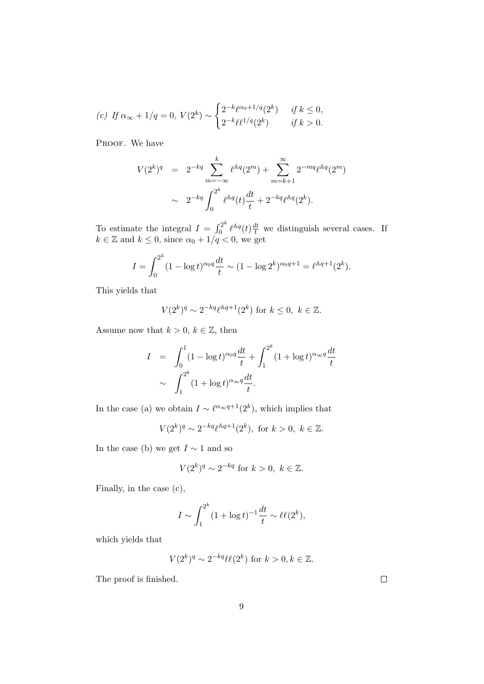$$
(c) \ \text{If } \alpha_{\infty} + 1/q = 0, \ V(2^k) \sim \begin{cases} 2^{-k} \ell^{\alpha_0 + 1/q}(2^k) & \text{if } k \le 0, \\ 2^{-k} \ell \ell^{1/q}(2^k) & \text{if } k > 0. \end{cases}
$$

PROOF. We have

$$
V(2^k)^q = 2^{-kq} \sum_{m=-\infty}^k \ell^{\mathbb{A}q}(2^m) + \sum_{m=k+1}^{\infty} 2^{-mq} \ell^{\mathbb{A}q}(2^m)
$$
  
 
$$
\sim 2^{-kq} \int_0^{2^k} \ell^{\mathbb{A}q}(t) \frac{dt}{t} + 2^{-kq} \ell^{\mathbb{A}q}(2^k).
$$

To estimate the integral  $I = \int_0^{2^k}$  $\int_0^{2^k} \ell^{\mathbb{A}q}(t) \frac{dt}{t}$  we distinguish several cases. If  $k \in \mathbb{Z}$  and  $k \leq 0$ , since  $\alpha_0 + 1/q < 0$ , we get

$$
I = \int_0^{2^k} (1 - \log t)^{\alpha_0 q} \frac{dt}{t} \sim (1 - \log 2^k)^{\alpha_0 q + 1} = \ell^{\mathbb{A}q + 1}(2^k).
$$

This yields that

$$
V(2^k)^q \sim 2^{-kq} \ell^{\mathbb{A}q+1}(2^k)
$$
 for  $k \leq 0, k \in \mathbb{Z}$ .

Assume now that  $k > 0$ ,  $k \in \mathbb{Z}$ , then

$$
I = \int_0^1 (1 - \log t)^{\alpha_0 q} \frac{dt}{t} + \int_1^{2^k} (1 + \log t)^{\alpha_{\infty} q} \frac{dt}{t}
$$

$$
\sim \int_1^{2^k} (1 + \log t)^{\alpha_{\infty} q} \frac{dt}{t}.
$$

In the case (a) we obtain  $I \sim \ell^{\alpha_{\infty} q+1}(2^k)$ , which implies that

$$
V(2^k)^q \sim 2^{-kq}\ell^{\mathbb{A}q+1}(2^k), \text{ for } k > 0, \ k \in \mathbb{Z}.
$$

In the case (b) we get  $I \sim 1$  and so

$$
V(2^k)^q \sim 2^{-kq} \text{ for } k > 0, \ k \in \mathbb{Z}.
$$

Finally, in the case (c),

$$
I \sim \int_{1}^{2^{k}} (1 + \log t)^{-1} \frac{dt}{t} \sim \ell \ell(2^{k}),
$$

which yields that

$$
V(2^k)^q \sim 2^{-kq} \ell \ell(2^k) \text{ for } k > 0, k \in \mathbb{Z}.
$$

The proof is finished.

 $\Box$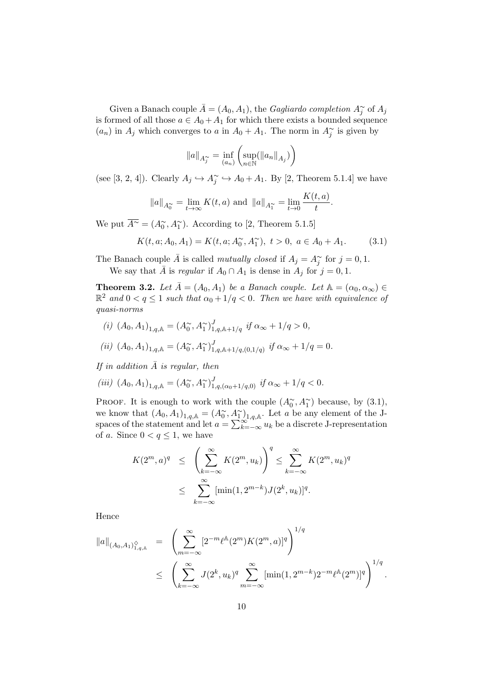Given a Banach couple  $\overline{A} = (A_0, A_1)$ , the *Gagliardo completion*  $A_j^{\sim}$  of  $A_j$ is formed of all those  $a \in A_0 + A_1$  for which there exists a bounded sequence  $(a_n)$  in  $A_j$  which converges to a in  $A_0 + A_1$ . The norm in  $A_j^{\sim}$  is given by

$$
||a||_{A_j^{\sim}} = \inf_{(a_n)} \left( \sup_{n \in \mathbb{N}} (||a_n||_{A_j}) \right)
$$

(see [3, 2, 4]). Clearly  $A_j \hookrightarrow A_j^{\sim} \hookrightarrow A_0 + A_1$ . By [2, Theorem 5.1.4] we have

$$
||a||_{A_0^{\infty}} = \lim_{t \to \infty} K(t, a)
$$
 and  $||a||_{A_1^{\infty}} = \lim_{t \to 0} \frac{K(t, a)}{t}$ 

We put  $\overline{A^{\sim}} = (A_0^{\sim}, A_1^{\sim})$ . According to [2, Theorem 5.1.5]

$$
K(t, a; A_0, A_1) = K(t, a; A_0^{\sim}, A_1^{\sim}), \ t > 0, \ a \in A_0 + A_1.
$$
 (3.1)

.

The Banach couple  $\overline{A}$  is called *mutually closed* if  $A_j = A_j^{\sim}$  for  $j = 0, 1$ .

We say that  $\overline{A}$  is *regular* if  $A_0 \cap A_1$  is dense in  $A_j$  for  $j = 0, 1$ .

**Theorem 3.2.** Let  $\bar{A} = (A_0, A_1)$  be a Banach couple. Let  $\mathbb{A} = (\alpha_0, \alpha_\infty) \in$  $\mathbb{R}^2$  and  $0 < q \leq 1$  such that  $\alpha_0 + 1/q < 0$ . Then we have with equivalence of quasi-norms

(i)  $(A_0, A_1)_{1,q,\mathbb{A}} = (A_0, A_1)_{1,q,\mathbb{A}+1/q}^J$  if  $\alpha_{\infty} + 1/q > 0$ ,

$$
(ii) (A_0, A_1)_{1,q,\mathbb{A}} = (A_0^{\sim}, A_1^{\sim})^J_{1,q,\mathbb{A}+1/q,(0,1/q)} \text{ if } \alpha_{\infty} + 1/q = 0.
$$

If in addition  $\overline{A}$  is regular, then

$$
(iii) (A_0, A_1)_{1,q,\mathbb{A}} = (A_0^{\sim}, A_1^{\sim})^J_{1,q,(\alpha_0+1/q,0)} \text{ if } \alpha_{\infty} + 1/q < 0.
$$

PROOF. It is enough to work with the couple  $(A_0^{\sim}, A_1^{\sim})$  because, by  $(3.1)$ , we know that  $(A_0, A_1)_{1,q,\mathbb{A}} = (A_0, A_1)_{1,q,\mathbb{A}}$ . Let a be any element of the Jspaces of the statement and let  $a = \sum_{k=-\infty}^{\infty} u_k$  be a discrete J-representation of a. Since  $0 < q \leq 1$ , we have

$$
K(2^m, a)^q \le \left(\sum_{k=-\infty}^{\infty} K(2^m, u_k)\right)^q \le \sum_{k=-\infty}^{\infty} K(2^m, u_k)^q
$$
  

$$
\le \sum_{k=-\infty}^{\infty} \left[\min(1, 2^{m-k}) J(2^k, u_k)\right]^q.
$$

Hence

$$
||a||_{(A_0, A_1)_{1,q,\mathbb{A}}^{\diamondsuit}} = \left( \sum_{m=-\infty}^{\infty} [2^{-m} \ell^{\mathbb{A}} (2^m) K(2^m, a)]^q \right)^{1/q}
$$
  

$$
\leq \left( \sum_{k=-\infty}^{\infty} J(2^k, u_k)^q \sum_{m=-\infty}^{\infty} [\min(1, 2^{m-k}) 2^{-m} \ell^{\mathbb{A}} (2^m)]^q \right)^{1/q}.
$$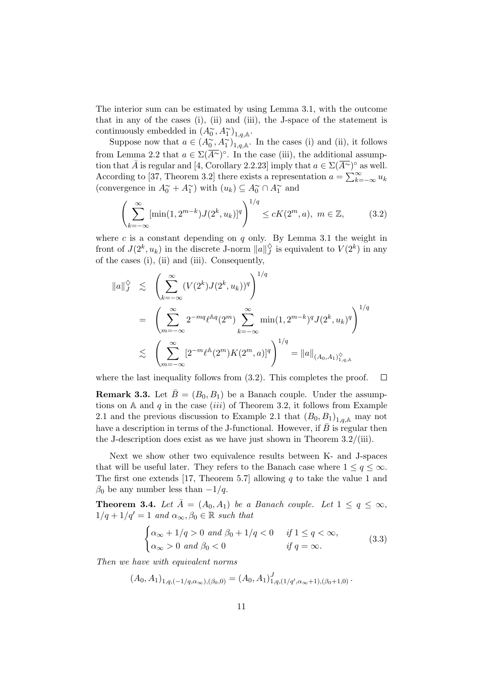The interior sum can be estimated by using Lemma 3.1, with the outcome that in any of the cases (i), (ii) and (iii), the J-space of the statement is continuously embedded in  $(A_0^{\sim}, A_1^{\sim})_{1,q,\mathbb{A}}$ .

Suppose now that  $a \in (A_0^{\infty}, A_1^{\infty})_{1,q,\mathbb{A}}^{\ldots}$ . In the cases (i) and (ii), it follows from Lemma 2.2 that  $a \in \Sigma(\overline{A^{\sim}})^{\circ}$ . In the case (iii), the additional assumption that  $\bar{A}$  is regular and [4, Corollary 2.2.23] imply that  $a \in \Sigma(\overline{A^{\sim}})^{\circ}$  as well. According to [37, Theorem 3.2] there exists a representation  $a = \sum_{k=-\infty}^{\infty} u_k$ (convergence in  $A_0^{\sim} + A_1^{\sim}$ ) with  $(u_k) \subseteq A_0^{\sim} \cap A_1^{\sim}$  and

$$
\left(\sum_{k=-\infty}^{\infty} [\min(1, 2^{m-k}) J(2^k, u_k)]^q\right)^{1/q} \le cK(2^m, a), \ m \in \mathbb{Z}, \tag{3.2}
$$

where c is a constant depending on  $q$  only. By Lemma 3.1 the weight in front of  $J(2^k, u_k)$  in the discrete J-norm  $||a||_J^{\diamondsuit}$  $\hat{y}$  is equivalent to  $V(2^k)$  in any of the cases (i), (ii) and (iii). Consequently,

$$
||a||_J^{\diamondsuit} \leq \left(\sum_{k=-\infty}^{\infty} (V(2^k)J(2^k, u_k))^q\right)^{1/q}
$$
  
=  $\left(\sum_{m=-\infty}^{\infty} 2^{-mq} \ell^{\mathbb{A}q}(2^m) \sum_{k=-\infty}^{\infty} \min(1, 2^{m-k})^q J(2^k, u_k)^q\right)^{1/q}$   
 $\leq \left(\sum_{m=-\infty}^{\infty} [2^{-m} \ell^{\mathbb{A}}(2^m) K(2^m, a)]^q\right)^{1/q} = ||a||_{(A_0, A_1)_{1,q,\mathbb{A}}^{\diamondsuit}}$ 

where the last inequality follows from  $(3.2)$ . This completes the proof.  $\Box$ 

**Remark 3.3.** Let  $\bar{B} = (B_0, B_1)$  be a Banach couple. Under the assumptions on  $A$  and  $q$  in the case *(iii)* of Theorem 3.2, it follows from Example 2.1 and the previous discussion to Example 2.1 that  $(B_0, B_1)_{1,q,\mathbb{A}}$  may not have a description in terms of the J-functional. However, if  $\bar{B}$  is regular then the J-description does exist as we have just shown in Theorem 3.2/(iii).

Next we show other two equivalence results between K- and J-spaces that will be useful later. They refers to the Banach case where  $1 \leq q \leq \infty$ . The first one extends [17, Theorem 5.7] allowing  $q$  to take the value 1 and  $\beta_0$  be any number less than  $-1/q$ .

**Theorem 3.4.** Let  $\bar{A} = (A_0, A_1)$  be a Banach couple. Let  $1 \leq q \leq \infty$ ,  $1/q + 1/q' = 1$  and  $\alpha_{\infty}, \beta_0 \in \mathbb{R}$  such that

$$
\begin{cases} \alpha_{\infty} + 1/q > 0 \text{ and } \beta_0 + 1/q < 0 & \text{if } 1 \le q < \infty, \\ \alpha_{\infty} > 0 \text{ and } \beta_0 < 0 & \text{if } q = \infty. \end{cases}
$$
 (3.3)

Then we have with equivalent norms

$$
(A_0, A_1)_{1,q,(-1/q,\alpha_\infty),(\beta_0,0)} = (A_0, A_1)_{1,q,(1/q',\alpha_\infty+1),(\beta_0+1,0)}^J.
$$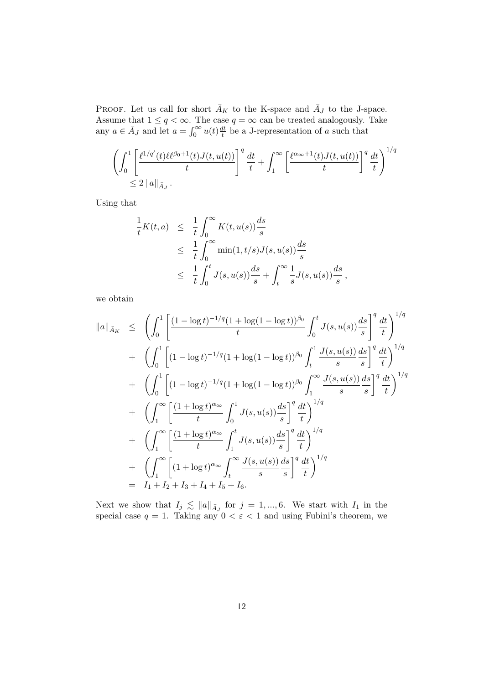PROOF. Let us call for short  $\bar{A}_K$  to the K-space and  $\bar{A}_J$  to the J-space. Assume that  $1 \leq q < \infty$ . The case  $q = \infty$  can be treated analogously. Take any  $a \in \overline{A}_J$  and let  $a = \int_0^\infty u(t) \frac{dt}{t}$  $\frac{dt}{t}$  be a J-representation of a such that

$$
\left(\int_0^1 \left[\frac{\ell^{1/q'}(t)\ell\ell^{\beta_0+1}(t)J(t,u(t))}{t}\right]^q \frac{dt}{t} + \int_1^\infty \left[\frac{\ell^{\alpha_\infty+1}(t)J(t,u(t))}{t}\right]^q \frac{dt}{t}\right)^{1/q}
$$
  
 $\leq 2 ||a||_{\bar{A}_J}.$ 

Using that

$$
\frac{1}{t}K(t,a) \leq \frac{1}{t} \int_0^\infty K(t,u(s)) \frac{ds}{s}
$$
\n
$$
\leq \frac{1}{t} \int_0^\infty \min(1,t/s) J(s,u(s)) \frac{ds}{s}
$$
\n
$$
\leq \frac{1}{t} \int_0^t J(s,u(s)) \frac{ds}{s} + \int_t^\infty \frac{1}{s} J(s,u(s)) \frac{ds}{s},
$$

we obtain

$$
||a||_{\bar{A}_K} \leq \left(\int_0^1 \left[\frac{(1-\log t)^{-1/q}(1+\log(1-\log t))^{\beta_0}}{t}\int_0^t J(s, u(s))\frac{ds}{s}\right]^q \frac{dt}{t}\right)^{1/q} + \left(\int_0^1 \left[(1-\log t)^{-1/q}(1+\log(1-\log t))^{\beta_0}\int_t^1 \frac{J(s, u(s))}{s}\frac{ds}{s}\right]^q \frac{dt}{t}\right)^{1/q} + \left(\int_0^1 \left[(1-\log t)^{-1/q}(1+\log(1-\log t))^{\beta_0}\int_1^\infty \frac{J(s, u(s))}{s}\frac{ds}{s}\right]^q \frac{dt}{t}\right)^{1/q} + \left(\int_1^\infty \left[\frac{(1+\log t)^{\alpha_\infty}}{t}\int_0^1 J(s, u(s))\frac{ds}{s}\right]^q \frac{dt}{t}\right)^{1/q} + \left(\int_1^\infty \left[\frac{(1+\log t)^{\alpha_\infty}}{t}\int_1^t J(s, u(s))\frac{ds}{s}\right]^q \frac{dt}{t}\right)^{1/q} + \left(\int_1^\infty \left[(1+\log t)^{\alpha_\infty}\int_t^t J(s, u(s))\frac{ds}{s}\right]^q \frac{dt}{t}\right)^{1/q} = I_1 + I_2 + I_3 + I_4 + I_5 + I_6.
$$

Next we show that  $I_j \lesssim ||a||_{\bar{A}_J}$  for  $j = 1, ..., 6$ . We start with  $I_1$  in the special case  $q = 1$ . Taking any  $0 < \varepsilon < 1$  and using Fubini's theorem, we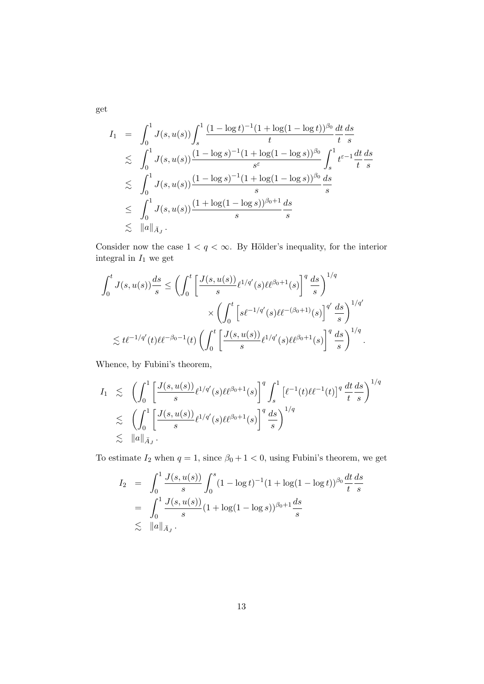$$
I_1 = \int_0^1 J(s, u(s)) \int_s^1 \frac{(1 - \log t)^{-1} (1 + \log(1 - \log t))^{\beta_0}}{t} dt dt ds
$$
  
\n
$$
\lesssim \int_0^1 J(s, u(s)) \frac{(1 - \log s)^{-1} (1 + \log(1 - \log s))^{\beta_0}}{s^{\varepsilon}} \int_s^1 t^{\varepsilon - 1} dt dt dt
$$
  
\n
$$
\lesssim \int_0^1 J(s, u(s)) \frac{(1 - \log s)^{-1} (1 + \log(1 - \log s))^{\beta_0}}{s} ds
$$
  
\n
$$
\leq \int_0^1 J(s, u(s)) \frac{(1 + \log(1 - \log s))^{\beta_0 + 1}}{s} ds
$$
  
\n
$$
\lesssim ||a||_{\bar{A}_J}.
$$

Consider now the case  $1 < q < \infty$ . By Hölder's inequality, for the interior integral in  $I_1$  we get

$$
\int_0^t J(s, u(s)) \frac{ds}{s} \le \left( \int_0^t \left[ \frac{J(s, u(s))}{s} \ell^{1/q'}(s) \ell^{1/q'}(s) \right]^q \frac{ds}{s} \right)^{1/q'}
$$
  
\$\times \left( \int\_0^t \left[ s \ell^{-1/q'}(s) \ell \ell^{-(\beta\_0+1)}(s) \right]^{q'} \frac{ds}{s} \right)^{1/q'}\$  
\$\leq t \ell^{-1/q'}(t) \ell \ell^{-\beta\_0-1}(t) \left( \int\_0^t \left[ \frac{J(s, u(s))}{s} \ell^{1/q'}(s) \ell \ell^{\beta\_0+1}(s) \right]^q \frac{ds}{s} \right)^{1/q}\$.

Whence, by Fubini's theorem,

$$
I_1 \leq \left( \int_0^1 \left[ \frac{J(s, u(s))}{s} \ell^{1/q'}(s) \ell \ell^{\beta_0 + 1}(s) \right]^q \int_s^1 \left[ \ell^{-1}(t) \ell \ell^{-1}(t) \right]^q \frac{dt}{t} \frac{ds}{s} \right)^{1/q}
$$
  

$$
\lesssim \left( \int_0^1 \left[ \frac{J(s, u(s))}{s} \ell^{1/q'}(s) \ell \ell^{\beta_0 + 1}(s) \right]^q \frac{ds}{s} \right)^{1/q}
$$
  

$$
\lesssim ||a||_{\bar{A}_J}.
$$

To estimate  $I_2$  when  $q = 1$ , since  $\beta_0 + 1 < 0$ , using Fubini's theorem, we get

$$
I_2 = \int_0^1 \frac{J(s, u(s))}{s} \int_0^s (1 - \log t)^{-1} (1 + \log(1 - \log t))^{\beta_0} \frac{dt}{t} \frac{ds}{s}
$$
  
= 
$$
\int_0^1 \frac{J(s, u(s))}{s} (1 + \log(1 - \log s))^{\beta_0 + 1} \frac{ds}{s}
$$
  
\$\lesssim \ \|a\|\_{\bar{A}\_J}.

get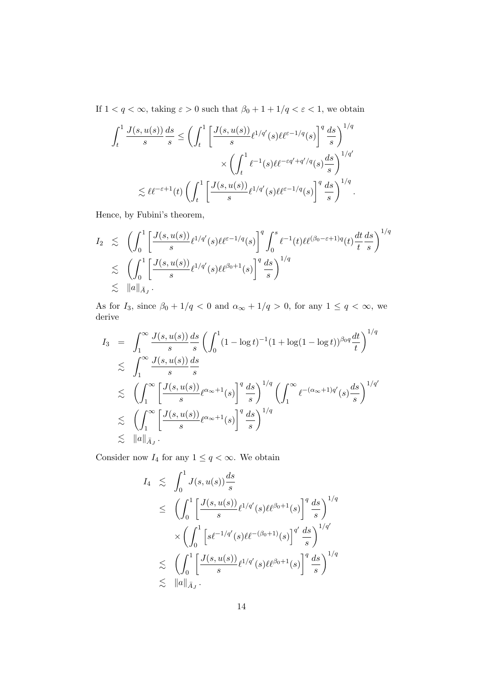If  $1 < q < \infty,$  taking  $\varepsilon > 0$  such that  $\beta_0 + 1 + 1/q < \varepsilon < 1,$  we obtain

$$
\begin{split} \int_t^1\frac{J(s,u(s))}{s}\frac{ds}{s}&\leq \left(\int_t^1\left[\frac{J(s,u(s))}{s}\ell^{1/q'}(s)\ell\ell^{\varepsilon-1/q}(s)\right]^q\frac{ds}{s}\right)^{1/q'}\\ &\times\left(\int_t^1\ell^{-1}(s)\ell\ell^{-\varepsilon q'+q'/q}(s)\frac{ds}{s}\right)^{1/q'}\\ &\lesssim \ell\ell^{-\varepsilon+1}(t)\left(\int_t^1\left[\frac{J(s,u(s))}{s}\ell^{1/q'}(s)\ell\ell^{\varepsilon-1/q}(s)\right]^q\frac{ds}{s}\right)^{1/q}. \end{split}
$$

Hence, by Fubini's theorem,

$$
I_2 \leq \left( \int_0^1 \left[ \frac{J(s, u(s))}{s} \ell^{1/q'}(s) \ell^{\varepsilon - 1/q}(s) \right]^q \int_0^s \ell^{-1}(t) \ell^{\varepsilon(\beta_0 - \varepsilon + 1)q}(t) \frac{dt}{t} \frac{ds}{s} \right)^{1/q}
$$
  

$$
\lesssim \left( \int_0^1 \left[ \frac{J(s, u(s))}{s} \ell^{1/q'}(s) \ell^{\beta_0 + 1}(s) \right]^q \frac{ds}{s} \right)^{1/q}
$$
  

$$
\lesssim ||a||_{\bar{A}_J}.
$$

As for  $I_3$ , since  $\beta_0 + 1/q < 0$  and  $\alpha_{\infty} + 1/q > 0$ , for any  $1 \le q < \infty$ , we derive

$$
I_3 = \int_1^\infty \frac{J(s, u(s))}{s} \frac{ds}{s} \left( \int_0^1 (1 - \log t)^{-1} (1 + \log(1 - \log t))^{\beta_0 q} \frac{dt}{t} \right)^{1/q}
$$
  
\n
$$
\lesssim \int_1^\infty \frac{J(s, u(s))}{s} \frac{ds}{s}
$$
  
\n
$$
\lesssim \left( \int_1^\infty \left[ \frac{J(s, u(s))}{s} \ell^{\alpha_\infty + 1}(s) \right]^q \frac{ds}{s} \right)^{1/q} \left( \int_1^\infty \ell^{-(\alpha_\infty + 1)q'}(s) \frac{ds}{s} \right)^{1/q'}
$$
  
\n
$$
\lesssim \left( \int_1^\infty \left[ \frac{J(s, u(s))}{s} \ell^{\alpha_\infty + 1}(s) \right]^q \frac{ds}{s} \right)^{1/q}
$$
  
\n
$$
\lesssim ||a||_{\bar{A}_J}.
$$

Consider now  $I_4$  for any  $1 \leq q < \infty$ . We obtain

$$
I_4 \leq \int_0^1 J(s, u(s)) \frac{ds}{s}
$$
  
\n
$$
\leq \left( \int_0^1 \left[ \frac{J(s, u(s))}{s} \ell^{1/q'}(s) \ell \ell^{\beta_0 + 1}(s) \right]^q \frac{ds}{s} \right)^{1/q}
$$
  
\n
$$
\times \left( \int_0^1 \left[ s \ell^{-1/q'}(s) \ell \ell^{-(\beta_0 + 1)}(s) \right]^q \frac{ds}{s} \right)^{1/q'}
$$
  
\n
$$
\leq \left( \int_0^1 \left[ \frac{J(s, u(s))}{s} \ell^{1/q'}(s) \ell \ell^{\beta_0 + 1}(s) \right]^q \frac{ds}{s} \right)^{1/q}
$$
  
\n
$$
\lesssim ||a||_{\bar{A}_J}.
$$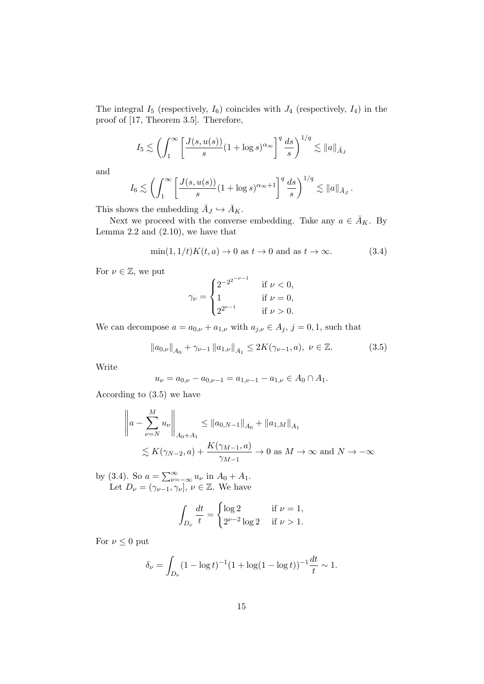The integral  $I_5$  (respectively,  $I_6$ ) coincides with  $J_4$  (respectively,  $I_4$ ) in the proof of [17, Theorem 3.5]. Therefore,

$$
I_5 \lesssim \left(\int_1^\infty \left[\frac{J(s, u(s))}{s} (1 + \log s)^{\alpha_{\infty}}\right]^q \frac{ds}{s}\right)^{1/q} \lesssim \|a\|_{\bar{A}_J}
$$

and

$$
I_6 \lesssim \left(\int_1^\infty \left[\frac{J(s,u(s))}{s} (1+\log s)^{\alpha_\infty+1}\right]^q \frac{ds}{s}\right)^{1/q} \lesssim \|a\|_{\bar{A}_J}.
$$

This shows the embedding  $\bar{A}_J \hookrightarrow \bar{A}_K$ .

Next we proceed with the converse embedding. Take any  $a \in \overline{A}_{K}$ . By Lemma  $2.2$  and  $(2.10)$ , we have that

$$
\min(1, 1/t)K(t, a) \to 0 \text{ as } t \to 0 \text{ and as } t \to \infty.
$$
 (3.4)

For  $\nu \in \mathbb{Z}$ , we put

$$
\gamma_{\nu} = \begin{cases} 2^{-2^{2^{-\nu - 1}}} & \text{if } \nu < 0, \\ 1 & \text{if } \nu = 0, \\ 2^{2^{\nu - 1}} & \text{if } \nu > 0. \end{cases}
$$

We can decompose  $a = a_{0,\nu} + a_{1,\nu}$  with  $a_{j,\nu} \in A_j$ ,  $j = 0, 1$ , such that

$$
||a_{0,\nu}||_{A_0} + \gamma_{\nu-1} ||a_{1,\nu}||_{A_1} \le 2K(\gamma_{\nu-1}, a), \ \nu \in \mathbb{Z}.
$$
 (3.5)

Write

$$
u_{\nu} = a_{0,\nu} - a_{0,\nu-1} = a_{1,\nu-1} - a_{1,\nu} \in A_0 \cap A_1.
$$

According to (3.5) we have

$$
\left\| a - \sum_{\nu=N}^{M} u_{\nu} \right\|_{A_0 + A_1} \leq \|a_{0,N-1}\|_{A_0} + \|a_{1,M}\|_{A_1}
$$
  
 
$$
\lesssim K(\gamma_{N-2}, a) + \frac{K(\gamma_{M-1}, a)}{\gamma_{M-1}} \to 0 \text{ as } M \to \infty \text{ and } N \to -\infty
$$

by (3.4). So  $a = \sum_{\nu=-\infty}^{\infty} u_{\nu}$  in  $A_0 + A_1$ . Let  $D_{\nu} = (\gamma_{\nu-1}, \gamma_{\nu}), \nu \in \mathbb{Z}$ . We have

$$
\int_{D_{\nu}} \frac{dt}{t} = \begin{cases} \log 2 & \text{if } \nu = 1, \\ 2^{\nu - 2} \log 2 & \text{if } \nu > 1. \end{cases}
$$

For  $\nu\leq 0$  put

$$
\delta_{\nu} = \int_{D_{\nu}} (1 - \log t)^{-1} (1 + \log(1 - \log t))^{-1} \frac{dt}{t} \sim 1.
$$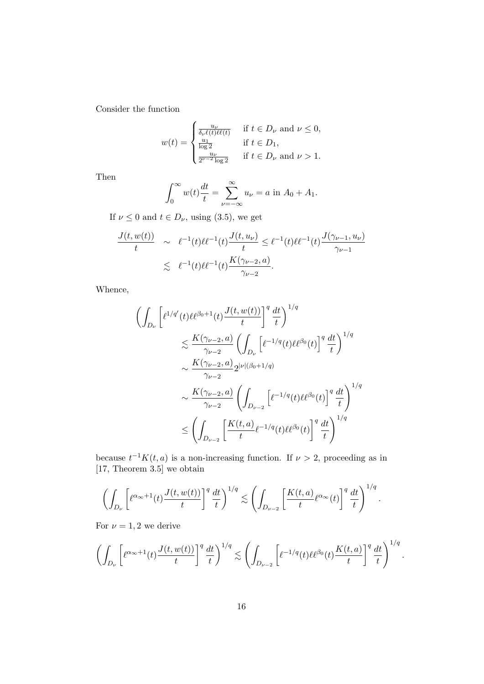Consider the function

$$
w(t) = \begin{cases} \frac{u_{\nu}}{\delta_{\nu}\ell(t)\ell\ell(t)} & \text{if } t \in D_{\nu} \text{ and } \nu \leq 0, \\ \frac{u_{1}}{\log 2} & \text{if } t \in D_{1}, \\ \frac{u_{\nu}}{2^{\nu-2}\log 2} & \text{if } t \in D_{\nu} \text{ and } \nu > 1. \end{cases}
$$

Then

$$
\int_0^{\infty} w(t) \frac{dt}{t} = \sum_{\nu = -\infty}^{\infty} u_{\nu} = a \text{ in } A_0 + A_1.
$$

If  $\nu \leq 0$  and  $t \in D_{\nu}$ , using (3.5), we get

$$
\frac{J(t, w(t))}{t} \sim \ell^{-1}(t)\ell\ell^{-1}(t)\frac{J(t, u_{\nu})}{t} \leq \ell^{-1}(t)\ell\ell^{-1}(t)\frac{J(\gamma_{\nu-1}, u_{\nu})}{\gamma_{\nu-1}}
$$
  

$$
\lesssim \ell^{-1}(t)\ell\ell^{-1}(t)\frac{K(\gamma_{\nu-2}, a)}{\gamma_{\nu-2}}.
$$

Whence,

$$
\left(\int_{D_{\nu}}\left[\ell^{1/q'}(t)\ell\ell^{\beta_{0}+1}(t)\frac{J(t,w(t))}{t}\right]^{q}\frac{dt}{t}\right)^{1/q} \leq \frac{K(\gamma_{\nu-2},a)}{\gamma_{\nu-2}}\left(\int_{D_{\nu}}\left[\ell^{-1/q}(t)\ell\ell^{\beta_{0}}(t)\right]^{q}\frac{dt}{t}\right)^{1/q} \sim \frac{K(\gamma_{\nu-2},a)}{\gamma_{\nu-2}}2^{|\nu|(\beta_{0}+1/q)} \sim \frac{K(\gamma_{\nu-2},a)}{\gamma_{\nu-2}}\left(\int_{D_{\nu-2}}\left[\ell^{-1/q}(t)\ell\ell^{\beta_{0}}(t)\right]^{q}\frac{dt}{t}\right)^{1/q} \leq \left(\int_{D_{\nu-2}}\left[\frac{K(t,a)}{t}\ell^{-1/q}(t)\ell\ell^{\beta_{0}}(t)\right]^{q}\frac{dt}{t}\right)^{1/q}
$$

because  $t^{-1}K(t, a)$  is a non-increasing function. If  $\nu > 2$ , proceeding as in [17, Theorem 3.5] we obtain

$$
\left(\int_{D_{\nu}}\left[\ell^{\alpha_{\infty}+1}(t)\frac{J(t,w(t))}{t}\right]^q\frac{dt}{t}\right)^{1/q}\lesssim \left(\int_{D_{\nu-2}}\left[\frac{K(t,a)}{t}\ell^{\alpha_{\infty}}(t)\right]^q\frac{dt}{t}\right)^{1/q}.
$$

For  $\nu = 1, 2$  we derive

$$
\left(\int_{D_{\nu}}\left[\ell^{\alpha_{\infty}+1}(t)\frac{J(t,w(t))}{t}\right]^{q}\frac{dt}{t}\right)^{1/q}\lesssim \left(\int_{D_{\nu-2}}\left[\ell^{-1/q}(t)\ell\ell^{\beta_{0}}(t)\frac{K(t,a)}{t}\right]^{q}\frac{dt}{t}\right)^{1/q}.
$$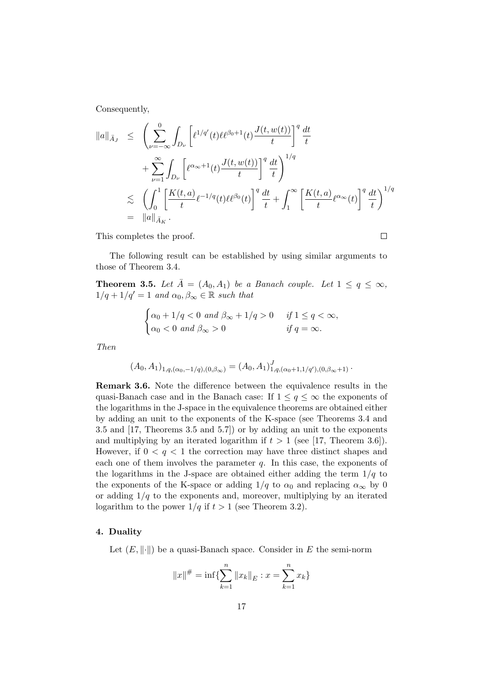Consequently,

$$
\|a\|_{\bar{A}_J} \leq \left(\sum_{\nu=-\infty}^0 \int_{D_{\nu}} \left[ \ell^{1/q'}(t) \ell \ell^{\beta_0+1}(t) \frac{J(t, w(t))}{t} \right]^q \frac{dt}{t} + \sum_{\nu=1}^{\infty} \int_{D_{\nu}} \left[ \ell^{\alpha_{\infty}+1}(t) \frac{J(t, w(t))}{t} \right]^q \frac{dt}{t} \right)^{1/q} \leq \left( \int_0^1 \left[ \frac{K(t, a)}{t} \ell^{-1/q}(t) \ell \ell^{\beta_0}(t) \right]^q \frac{dt}{t} + \int_1^{\infty} \left[ \frac{K(t, a)}{t} \ell^{\alpha_{\infty}}(t) \right]^q \frac{dt}{t} \right)^{1/q} = \|a\|_{\bar{A}_K}.
$$

This completes the proof.

The following result can be established by using similar arguments to those of Theorem 3.4.

 $\Box$ 

**Theorem 3.5.** Let  $\bar{A} = (A_0, A_1)$  be a Banach couple. Let  $1 \leq q \leq \infty$ ,  $1/q + 1/q' = 1$  and  $\alpha_0, \beta_\infty \in \mathbb{R}$  such that

$$
\begin{cases} \alpha_0 + 1/q < 0 \text{ and } \beta_{\infty} + 1/q > 0 & \text{ if } 1 \le q < \infty, \\ \alpha_0 < 0 \text{ and } \beta_{\infty} > 0 & \text{ if } q = \infty. \end{cases}
$$

Then

$$
(A_0, A_1)_{1,q,(\alpha_0,-1/q),(0,\beta_\infty)} = (A_0, A_1)_{1,q,(\alpha_0+1,1/q'),(0,\beta_\infty+1)}^J.
$$

Remark 3.6. Note the difference between the equivalence results in the quasi-Banach case and in the Banach case: If  $1 \le q \le \infty$  the exponents of the logarithms in the J-space in the equivalence theorems are obtained either by adding an unit to the exponents of the K-space (see Theorems 3.4 and 3.5 and [17, Theorems 3.5 and 5.7]) or by adding an unit to the exponents and multiplying by an iterated logarithm if  $t > 1$  (see [17, Theorem 3.6]). However, if  $0 < q < 1$  the correction may have three distinct shapes and each one of them involves the parameter  $q$ . In this case, the exponents of the logarithms in the J-space are obtained either adding the term  $1/q$  to the exponents of the K-space or adding  $1/q$  to  $\alpha_0$  and replacing  $\alpha_{\infty}$  by 0 or adding  $1/q$  to the exponents and, moreover, multiplying by an iterated logarithm to the power  $1/q$  if  $t > 1$  (see Theorem 3.2).

# 4. Duality

Let  $(E, \|\cdot\|)$  be a quasi-Banach space. Consider in E the semi-norm

$$
||x||^{\#} = \inf \{ \sum_{k=1}^{n} ||x_k||_E : x = \sum_{k=1}^{n} x_k \}
$$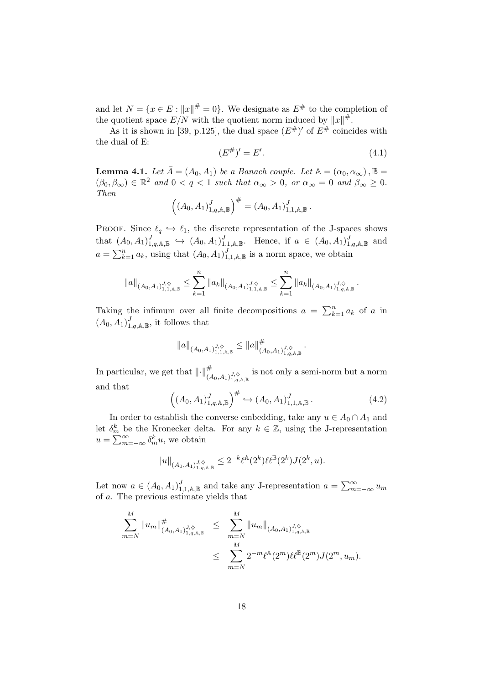and let  $N = \{x \in E : ||x||^{\#} = 0\}$ . We designate as  $E^{\#}$  to the completion of the quotient space  $E/N$  with the quotient norm induced by  $||x||^{\#}$ .

As it is shown in [39, p.125], the dual space  $(E^{\#})'$  of  $E^{\#}$  coincides with the dual of E:

$$
(E^{\#})' = E'.\tag{4.1}
$$

.

**Lemma 4.1.** Let  $\bar{A} = (A_0, A_1)$  be a Banach couple. Let  $\mathbb{A} = (\alpha_0, \alpha_\infty), \mathbb{B} =$  $(\beta_0, \beta_\infty) \in \mathbb{R}^2$  and  $0 < q < 1$  such that  $\alpha_\infty > 0$ , or  $\alpha_\infty = 0$  and  $\beta_\infty \geq 0$ . Then

$$
((A_0, A_1)_{1,q,\mathbb{A},\mathbb{B}}^J)^{\#} = (A_0, A_1)_{1,1,\mathbb{A},\mathbb{B}}^J.
$$

PROOF. Since  $\ell_q \hookrightarrow \ell_1$ , the discrete representation of the J-spaces shows that  $(A_0, A_1)_{1,q,\mathbb{A},\mathbb{B}}^J \hookrightarrow (A_0, A_1)_{1,1,\mathbb{A},\mathbb{B}}^J$ . Hence, if  $a \in (A_0, A_1)_{1,q,\mathbb{A},\mathbb{B}}^J$  and  $a = \sum_{k=1}^{n} a_k$ , using that  $(A_0, A_1)_{1,1,\mathbb{A},\mathbb{B}}^J$  is a norm space, we obtain

$$
||a||_{(A_0,A_1)_{1,1,\mathbb{A},\mathbb{B}}^{J,\diamondsuit}} \leq \sum_{k=1}^n ||a_k||_{(A_0,A_1)_{1,1,\mathbb{A},\mathbb{B}}^{J,\diamondsuit}} \leq \sum_{k=1}^n ||a_k||_{(A_0,A_1)_{1,q,\mathbb{A},\mathbb{B}}^{J,\diamondsuit}}
$$

Taking the infimum over all finite decompositions  $a = \sum_{k=1}^{n} a_k$  of a in  $(A_0, A_1)_{1,q,\mathbb{A},\mathbb{B}}^J$ , it follows that

$$
||a||_{(A_0,A_1)_{1,1,\mathbb{A},\mathbb{B}}^{J,\diamondsuit}} \leq ||a||_{(A_0,A_1)_{1,q,\mathbb{A},\mathbb{B}}^{J,\diamondsuit}}^{\#}.
$$

In particular, we get that  $\|\cdot\|_{(A_0,A_1)_{1,q,\mathbb{A},\mathbb{B}}^{J,\diamond}}^{\#}$  is not only a semi-norm but a norm and that

$$
\left( (A_0, A_1)_{1,q,\mathbb{A},\mathbb{B}}^J \right)^{\#} \hookrightarrow (A_0, A_1)_{1,1,\mathbb{A},\mathbb{B}}^J. \tag{4.2}
$$

In order to establish the converse embedding, take any  $u \in A_0 \cap A_1$  and let  $\delta_m^k$  be the Kronecker delta. For any  $k \in \mathbb{Z}$ , using the J-representation  $u = \sum_{m=-\infty}^{\infty} \delta_m^k u$ , we obtain

$$
\|u\|_{(A_0,A_1)_{1,q,{\mathbb A},{\mathbb B}}^{J,\diamond}}\leq 2^{-k}\ell^{{\mathbb A}}(2^k)\ell\ell^{{\mathbb B}}(2^k)J(2^k,u).
$$

Let now  $a \in (A_0, A_1)_{1,1,\mathbb{A},\mathbb{B}}^J$  and take any J-representation  $a = \sum_{m=-\infty}^{\infty} u_m$ of a. The previous estimate yields that

$$
\sum_{m=N}^{M} \|u_m\|_{(A_0,A_1)_{1,q,\mathbb{A},\mathbb{B}}^{J,\diamondsuit}}^{\#} \leq \sum_{m=N}^{M} \|u_m\|_{(A_0,A_1)_{1,q,\mathbb{A},\mathbb{B}}^{J,\diamondsuit}} \\ \leq \sum_{m=N}^{M} 2^{-m} \ell^{\mathbb{A}}(2^m) \ell \ell^{\mathbb{B}}(2^m) J(2^m,u_m).
$$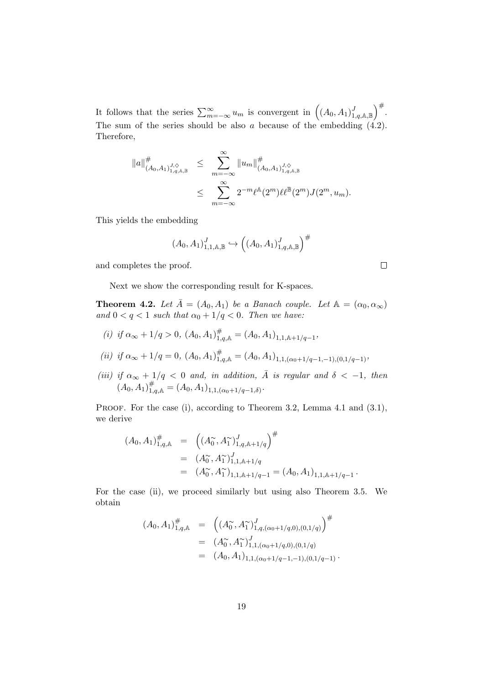It follows that the series  $\sum_{m=-\infty}^{\infty} u_m$  is convergent in  $((A_0, A_1)_{1,q,\mathbb{A},\mathbb{B}}^J)^{\#}$ . The sum of the series should be also a because of the embedding  $(4.2)$ . Therefore,

$$
||a||^{\#}_{(A_0, A_1)^{J, \diamondsuit}_{1, q, \mathbb{A}, \mathbb{B}}} \leq \sum_{m=-\infty}^{\infty} ||u_m||^{\#}_{(A_0, A_1)^{J, \diamondsuit}_{1, q, \mathbb{A}, \mathbb{B}}} \leq \sum_{m=-\infty}^{\infty} 2^{-m} \ell^{\mathbb{A}}(2^m) \ell \ell^{\mathbb{B}}(2^m) J(2^m, u_m).
$$

This yields the embedding

$$
(A_0, A_1)_{1,1,\mathbb{A},\mathbb{B}}^J \hookrightarrow \left( (A_0, A_1)_{1,q,\mathbb{A},\mathbb{B}}^J \right)^{\#}
$$

 $\Box$ 

and completes the proof.

Next we show the corresponding result for K-spaces.

**Theorem 4.2.** Let  $\bar{A} = (A_0, A_1)$  be a Banach couple. Let  $\mathbb{A} = (\alpha_0, \alpha_{\infty})$ and  $0 < q < 1$  such that  $\alpha_0 + 1/q < 0$ . Then we have:

- (i) if  $\alpha_{\infty} + 1/q > 0$ ,  $(A_0, A_1)_{1,q,\mathbb{A}}^{\#} = (A_0, A_1)_{1,1,\mathbb{A}+1/q-1}$ ,
- (ii) if  $\alpha_{\infty} + 1/q = 0$ ,  $(A_0, A_1)_{1,q,\mathbb{A}}^{\#} = (A_0, A_1)_{1,1,( \alpha_0 + 1/q 1, -1),(0,1/q-1) }$
- (iii) if  $\alpha_{\infty} + 1/q < 0$  and, in addition,  $\overline{A}$  is regular and  $\delta < -1$ , then  $(A_0, A_1)_{1,q,\mathbb{A}}^{\#} = (A_0, A_1)_{1,1,(\alpha_0+1/q-1,\delta)}.$

PROOF. For the case (i), according to Theorem 3.2, Lemma 4.1 and (3.1), we derive

$$
(A_0, A_1)^{\#}_{1,q,\mathbb{A}} = ((A_0^{\sim}, A_1^{\sim})^J_{1,q,\mathbb{A}+1/q})^{\#}
$$
  
=  $(A_0^{\sim}, A_1^{\sim})^J_{1,1,\mathbb{A}+1/q}$   
=  $(A_0^{\sim}, A_1^{\sim})_{1,1,\mathbb{A}+1/q-1} = (A_0, A_1)_{1,1,\mathbb{A}+1/q-1}$ .

For the case (ii), we proceed similarly but using also Theorem 3.5. We obtain

$$
(A_0, A_1)^{\#}_{1,q,\mathbb{A}} = ((A_0^{\sim}, A_1^{\sim})^J_{1,q,(\alpha_0+1/q,0),(0,1/q)})^{\#}
$$
  
= 
$$
(A_0^{\sim}, A_1^{\sim})^J_{1,1,(\alpha_0+1/q,0),(0,1/q)}
$$
  
= 
$$
(A_0, A_1)_{1,1,(\alpha_0+1/q-1,-1),(0,1/q-1)}.
$$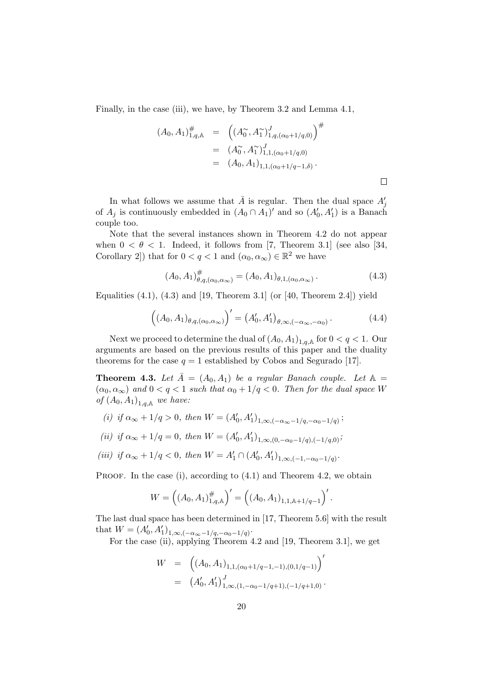Finally, in the case (iii), we have, by Theorem 3.2 and Lemma 4.1,

$$
(A_0, A_1)^{\#}_{1,q,\mathbb{A}} = ((A_0^{\sim}, A_1^{\sim})^J_{1,q,(\alpha_0+1/q,0)})^{\#}
$$
  
=  $(A_0^{\sim}, A_1^{\sim})^J_{1,1,(\alpha_0+1/q,0)}$   
=  $(A_0, A_1)_{1,1,(\alpha_0+1/q-1,\delta)}$ .

 $\Box$ 

In what follows we assume that  $\overline{A}$  is regular. Then the dual space  $A'_j$ of  $A_j$  is continuously embedded in  $(A_0 \cap A_1)'$  and so  $(A'_0, A'_1)$  is a Banach couple too.

Note that the several instances shown in Theorem 4.2 do not appear when  $0 < \theta < 1$ . Indeed, it follows from [7, Theorem 3.1] (see also [34, Corollary 2]) that for  $0 < q < 1$  and  $(\alpha_0, \alpha_\infty) \in \mathbb{R}^2$  we have

$$
(A_0, A_1)^{\#}_{\theta, q, (\alpha_0, \alpha_\infty)} = (A_0, A_1)_{\theta, 1, (\alpha_0, \alpha_\infty)}.
$$
\n(4.3)

Equalities  $(4.1)$ ,  $(4.3)$  and  $[19$ , Theorem 3.1 (or  $[40$ , Theorem 2.4) yield

$$
\left( (A_0, A_1)_{\theta, q, (\alpha_0, \alpha_\infty)} \right)' = \left( A'_0, A'_1 \right)_{\theta, \infty, (-\alpha_\infty, -\alpha_0)}.
$$
\n(4.4)

Next we proceed to determine the dual of  $(A_0, A_1)_{1,q,\mathbb{A}}$  for  $0 < q < 1$ . Our arguments are based on the previous results of this paper and the duality theorems for the case  $q = 1$  established by Cobos and Segurado [17].

**Theorem 4.3.** Let  $\bar{A} = (A_0, A_1)$  be a regular Banach couple. Let  $A =$  $(\alpha_0, \alpha_\infty)$  and  $0 < q < 1$  such that  $\alpha_0 + 1/q < 0$ . Then for the dual space W of  $(A_0, A_1)_{1,q,\mathbb{A}}$  we have:

- (i) if  $\alpha_{\infty} + 1/q > 0$ , then  $W = (A'_0, A'_1)_{1, \infty, (-\alpha_{\infty} 1/q, -\alpha_0 1/q)}$ ;
- (ii) if  $\alpha_{\infty} + 1/q = 0$ , then  $W = (A'_0, A'_1)_{1, \infty, (0, -\alpha_0 1/q), (-1/q, 0)}$ ;
- (iii) if  $\alpha_{\infty} + 1/q < 0$ , then  $W = A'_1 \cap (A'_0, A'_1)_{1, \infty, (-1, -\alpha_0 1/q)}$ .

PROOF. In the case (i), according to  $(4.1)$  and Theorem 4.2, we obtain

$$
W = ((A_0, A_1)_{1,q,\mathbb{A}}^{\#})' = ((A_0, A_1)_{1,1,\mathbb{A}+1/q-1})'.
$$

The last dual space has been determined in [17, Theorem 5.6] with the result that  $W = (A'_0, A'_1)_{1,\infty, (-\alpha_{\infty}-1/q, -\alpha_0-1/q)}$ .

For the case (ii), applying Theorem 4.2 and [19, Theorem 3.1], we get

$$
W = ((A_0, A_1)_{1,1,(\alpha_0+1/q-1,-1),(0,1/q-1)})'
$$
  
= 
$$
(A'_0, A'_1)_{1,\infty,(1,-\alpha_0-1/q+1),(-1/q+1,0)}^J.
$$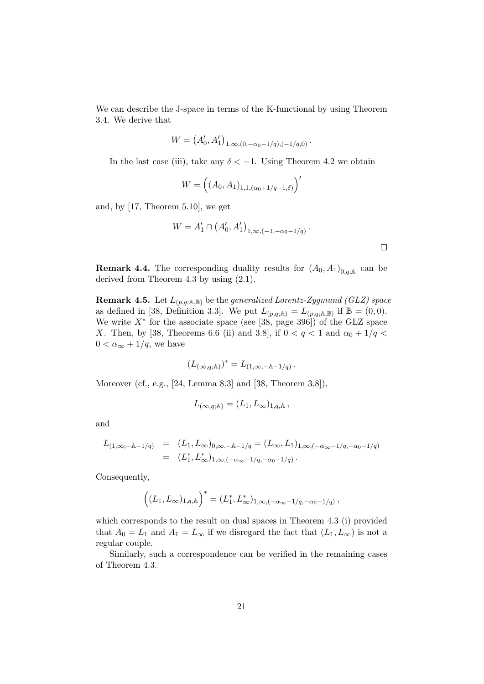We can describe the J-space in terms of the K-functional by using Theorem 3.4. We derive that

$$
W = (A'_0, A'_1)_{1, \infty, (0, -\alpha_0 - 1/q), (-1/q, 0)}.
$$

In the last case (iii), take any  $\delta < -1$ . Using Theorem 4.2 we obtain

$$
W = ((A_0, A_1)_{1,1,(\alpha_0+1/q-1,\delta)})'
$$

and, by [17, Theorem 5.10], we get

$$
W = A'_1 \cap (A'_0, A'_1)_{1,\infty, (-1, -\alpha_0 - 1/q)}.
$$

**Remark 4.4.** The corresponding duality results for  $(A_0, A_1)_{0,q,\mathbb{A}}$  can be derived from Theorem 4.3 by using (2.1).

**Remark 4.5.** Let  $L_{(p,q;\mathbb{A},\mathbb{B})}$  be the generalized Lorentz-Zygmund (GLZ) space as defined in [38, Definition 3.3]. We put  $L_{(p,q;\mathbb{A})} = L_{(p,q;\mathbb{A},\mathbb{B})}$  if  $\mathbb{B} = (0,0)$ . We write  $X^*$  for the associate space (see [38, page 396]) of the GLZ space X. Then, by [38, Theorems 6.6 (ii) and 3.8], if  $0 < q < 1$  and  $\alpha_0 + 1/q <$  $0 < \alpha_{\infty} + 1/q$ , we have

$$
(L_{(\infty,q;\mathbb{A})})^*=L_{(1,\infty;-\mathbb{A}-1/q)}.
$$

Moreover (cf., e.g., [24, Lemma 8.3] and [38, Theorem 3.8]),

$$
L_{(\infty,q;\mathbb{A})} = (L_1, L_\infty)_{1,q,\mathbb{A}},
$$

and

$$
L_{(1,\infty;-\mathbb{A}-1/q)} = (L_1, L_\infty)_{0,\infty,-\mathbb{A}-1/q} = (L_\infty, L_1)_{1,\infty,(-\alpha_\infty-1/q,-\alpha_0-1/q)} = (L_1^*, L_\infty^*)_{1,\infty,(-\alpha_\infty-1/q,-\alpha_0-1/q)}.
$$

Consequently,

$$
\left((L_1, L_\infty)_{1,q,\mathbb{A}}\right)^* = (L_1^*, L_\infty^*)_{1,\infty, (-\alpha_\infty - 1/q, -\alpha_0 - 1/q)},
$$

which corresponds to the result on dual spaces in Theorem 4.3 (i) provided that  $A_0 = L_1$  and  $A_1 = L_\infty$  if we disregard the fact that  $(L_1, L_\infty)$  is not a regular couple.

Similarly, such a correspondence can be verified in the remaining cases of Theorem 4.3.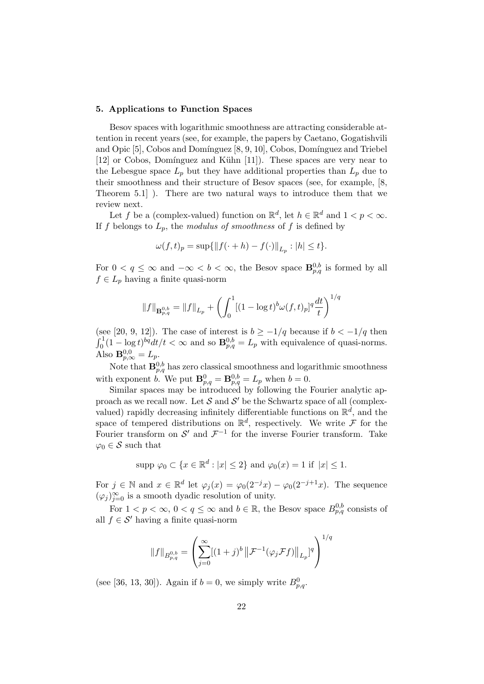## 5. Applications to Function Spaces

Besov spaces with logarithmic smoothness are attracting considerable attention in recent years (see, for example, the papers by Caetano, Gogatishvili and Opic  $[5]$ , Cobos and Domínguez  $[8, 9, 10]$ , Cobos, Domínguez and Triebel [12] or Cobos, Domínguez and Kühn [11]). These spaces are very near to the Lebesgue space  $L_p$  but they have additional properties than  $L_p$  due to their smoothness and their structure of Besov spaces (see, for example, [8, Theorem 5.1] ). There are two natural ways to introduce them that we review next.

Let f be a (complex-valued) function on  $\mathbb{R}^d$ , let  $h \in \mathbb{R}^d$  and  $1 < p < \infty$ . If f belongs to  $L_p$ , the modulus of smoothness of f is defined by

$$
\omega(f, t)_p = \sup \{ ||f(\cdot + h) - f(\cdot)||_{L_p} : |h| \le t \}.
$$

For  $0 < q \leq \infty$  and  $-\infty < b < \infty$ , the Besov space  $\mathbf{B}^{0,b}_{p,q}$  is formed by all  $f \in L_p$  having a finite quasi-norm

$$
||f||_{\mathbf{B}_{p,q}^{0,b}} = ||f||_{L_p} + \left(\int_0^1 [(1 - \log t)^b \omega(f,t)_p]^q \frac{dt}{t}\right)^{1/q}
$$

(see [20, 9, 12]). The case of interest is  $b \ge -1/q$  because if  $b < -1/q$  then  $\int_0^1 (1 - \log t)^{bq} dt/t < \infty$  and so  $\mathbf{B}_{p,q}^{0,b} = L_p$  with equivalence of quasi-norms. Also  $\mathbf{B}_{p,\infty}^{0,0}=L_p$ .

Note that  $\mathbf{B}_{p,q}^{0,b}$  has zero classical smoothness and logarithmic smoothness with exponent b. We put  $\mathbf{B}_{p,q}^0 = \mathbf{B}_{p,q}^{0,b} = L_p$  when  $b = 0$ .

Similar spaces may be introduced by following the Fourier analytic approach as we recall now. Let  $S$  and  $S'$  be the Schwartz space of all (complexvalued) rapidly decreasing infinitely differentiable functions on  $\mathbb{R}^d$ , and the space of tempered distributions on  $\mathbb{R}^d$ , respectively. We write F for the Fourier transform on  $\mathcal{S}'$  and  $\mathcal{F}^{-1}$  for the inverse Fourier transform. Take  $\varphi_0 \in \mathcal{S}$  such that

$$
supp \varphi_0 \subset \{x \in \mathbb{R}^d : |x| \le 2\} \text{ and } \varphi_0(x) = 1 \text{ if } |x| \le 1.
$$

For  $j \in \mathbb{N}$  and  $x \in \mathbb{R}^d$  let  $\varphi_j(x) = \varphi_0(2^{-j}x) - \varphi_0(2^{-j+1}x)$ . The sequence  $(\varphi_j)_{j=0}^{\infty}$  is a smooth dyadic resolution of unity.

For  $1 < p < \infty$ ,  $0 < q \leq \infty$  and  $b \in \mathbb{R}$ , the Besov space  $B_{p,q}^{0,b}$  consists of all  $f \in \mathcal{S}'$  having a finite quasi-norm

$$
||f||_{B^{0,b}_{p,q}} = \left(\sum_{j=0}^{\infty} [(1+j)^b || \mathcal{F}^{-1}(\varphi_j \mathcal{F}f) ||_{L_p}]^q\right)^{1/q}
$$

(see [36, 13, 30]). Again if  $b = 0$ , we simply write  $B_{p,q}^0$ .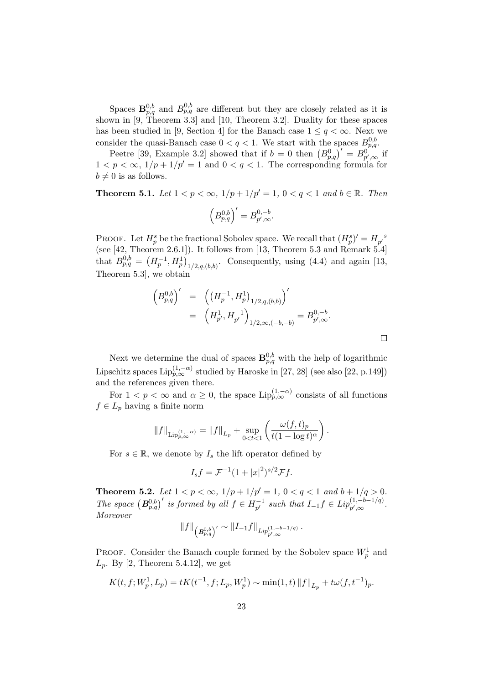Spaces  $\mathbf{B}_{p,q}^{0,b}$  and  $B_{p,q}^{0,b}$  are different but they are closely related as it is shown in [9, Theorem 3.3] and [10, Theorem 3.2]. Duality for these spaces has been studied in [9, Section 4] for the Banach case  $1 \leq q \leq \infty$ . Next we consider the quasi-Banach case  $0 < q < 1$ . We start with the spaces  $B_{p,q}^{0,b}$ .

Peetre [39, Example 3.2] showed that if  $b = 0$  then  $(B_{p,q}^0)' = B_{p',\infty}^{0}$  if  $1 < p < \infty$ ,  $1/p + 1/p' = 1$  and  $0 < q < 1$ . The corresponding formula for  $b \neq 0$  is as follows.

**Theorem 5.1.** Let  $1 < p < \infty$ ,  $1/p + 1/p' = 1$ ,  $0 < q < 1$  and  $b \in \mathbb{R}$ . Then  $\left(B_{p,q}^{0,b}\right)' = B_{p',\infty}^{0,-b}$ 

$$
\left(B_{p,q}^{0,b}\right) = B_{p',\infty}^{0,-b}.
$$
  
the fractional Sobolev space. We reca

PROOF. Let  $H_p^s$  be the fractional Sobolev space. We recall that  $(H_p^s)' = H_{p'}^{-s}$  $p'$ (see [42, Theorem 2.6.1]). It follows from [13, Theorem 5.3 and Remark 5.4] that  $B_{p,q}^{0,b} = (H_p^{-1}, H_p^1)_{1/2,q,(b,b)}$ . Consequently, using (4.4) and again [13, Theorem 5.3], we obtain

$$
\left(B_{p,q}^{0,b}\right)' = \left(\left(H_p^{-1}, H_p^{1}\right)_{1/2,q,(b,b)}\right)'
$$
  
= 
$$
\left(H_{p'}^{1}, H_{p'}^{-1}\right)_{1/2,\infty,(-b,-b)} = B_{p',\infty}^{0,-b}.
$$

 $\Box$ 

Next we determine the dual of spaces  $\mathbf{B}_{p,q}^{0,b}$  with the help of logarithmic Lipschitz spaces  $\text{Lip}_{p,\infty}^{(1,-\alpha)}$  studied by Haroske in [27, 28] (see also [22, p.149]) and the references given there.

For  $1 < p < \infty$  and  $\alpha \geq 0$ , the space  $\text{Lip}_{p,\infty}^{(1,-\alpha)}$  consists of all functions  $f \in L_p$  having a finite norm

$$
\|f\|_{\text{Lip}_{p,\infty}^{(1,-\alpha)}}=\|f\|_{L_p}+\sup_{0
$$

For  $s \in \mathbb{R}$ , we denote by  $I_s$  the lift operator defined by

$$
I_s f = \mathcal{F}^{-1} (1 + |x|^2)^{s/2} \mathcal{F} f.
$$

**Theorem 5.2.** Let  $1 < p < \infty$ ,  $1/p + 1/p' = 1$ ,  $0 < q < 1$  and  $b + 1/q > 0$ . The space  $\left(B_{p,q}^{0,b}\right)'$  is formed by all  $f \in H_{p'}^{-1}$  $p_1^{-1}$  such that  $I_{-1}f \in Lip_{p',\infty}^{(1,-b-1/q)}$ . **Moreover** 

$$
||f||_{\left(B^{0,b}_{p,q}\right)'} \sim ||I_{-1}f||_{Lip_{p',\infty}^{(1,-b-1/q)}}.
$$

**PROOF.** Consider the Banach couple formed by the Sobolev space  $W_p^1$  and  $L_p$ . By [2, Theorem 5.4.12], we get

$$
K(t, f; W_p^1, L_p) = tK(t^{-1}, f; L_p, W_p^1) \sim \min(1, t) ||f||_{L_p} + t\omega(f, t^{-1})_p.
$$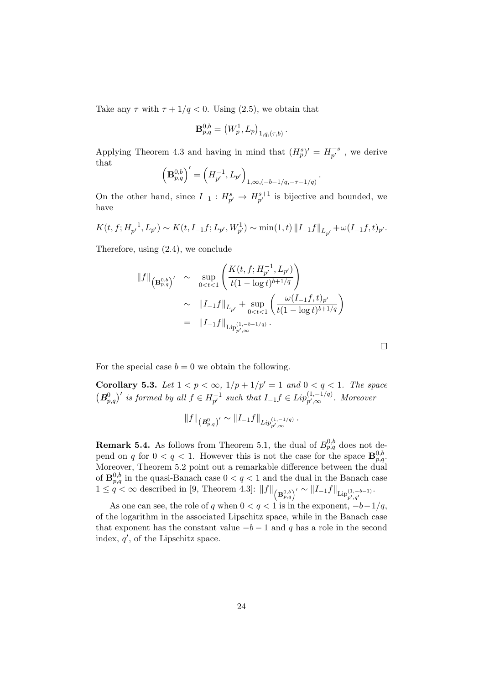Take any  $\tau$  with  $\tau + 1/q < 0$ . Using (2.5), we obtain that

$$
\mathbf{B}_{p,q}^{0,b} = (W_p^1, L_p)_{1,q,(\tau,b)}.
$$

Applying Theorem 4.3 and having in mind that  $(H_p^s)' = H_{p'}^{-s}$  $p' \over p'$ , we derive that

$$
\left(\mathbf{B}_{p,q}^{0,b}\right)'=\left(H_{p'}^{-1},L_{p'}\right)_{1,\infty,(-b-1/q,-\tau-1/q)}.
$$

On the other hand, since  $I_{-1}: H_{p'}^s \to H_{p'}^{s+1}$  $p^{\{s+1\}}_{p'}$  is bijective and bounded, we have

$$
K(t, f; H_{p'}^{-1}, L_{p'}) \sim K(t, I_{-1}f; L_{p'}, W_{p'}^1) \sim \min(1, t) \|I_{-1}f\|_{L_{p'}} + \omega(I_{-1}f, t)_{p'}.
$$

Therefore, using (2.4), we conclude

$$
||f||_{\left(\mathbf{B}_{p,q}^{0,b}\right)'} \sim \sup_{0 < t < 1} \left( \frac{K(t, f; H_{p'}^{-1}, L_{p'})}{t(1 - \log t)^{b+1/q}} \right) \\
\sim ||I_{-1}f||_{L_{p'}} + \sup_{0 < t < 1} \left( \frac{\omega(I_{-1}f, t)_{p'}}{t(1 - \log t)^{b+1/q}} \right) \\
= ||I_{-1}f||_{\text{Lip}_{p',\infty}^{(1, -b-1/q)}}.
$$

 $\Box$ 

For the special case  $b = 0$  we obtain the following.

Corollary 5.3. Let  $1 < p < \infty$ ,  $1/p + 1/p' = 1$  and  $0 < q < 1$ . The space  $(B_{p,q}^0)'$  is formed by all  $f \in H_{p'}^{-1}$  $p_1^{-1}$  such that  $I_{-1}f \in Lip_{p',\infty}^{(1,-1/q)}$ . Moreover

$$
||f||_{(B^0_{p,q})'} \sim ||I_{-1}f||_{Lip_{p',\infty}^{(1,-1/q)}}.
$$

**Remark 5.4.** As follows from Theorem 5.1, the dual of  $B_{p,q}^{0,b}$  does not depend on q for  $0 < q < 1$ . However this is not the case for the space  $\mathbf{B}_{p,q}^{0,b}$ . Moreover, Theorem 5.2 point out a remarkable difference between the dual of  $\mathbf{B}_{p,q}^{0,b}$  in the quasi-Banach case  $0 < q < 1$  and the dual in the Banach case  $1 \leq q < \infty$  described in [9, Theorem 4.3]:  $||f||_{(\mathbf{B}_{p,q}^{0,b})'} \sim ||I_{-1}f||_{\text{Lip}_{p',q'}}$ 

As one can see, the role of q when  $0 < q < 1$  is in the exponent,  $-b-1/q$ , of the logarithm in the associated Lipschitz space, while in the Banach case that exponent has the constant value  $-b-1$  and q has a role in the second index,  $q'$ , of the Lipschitz space.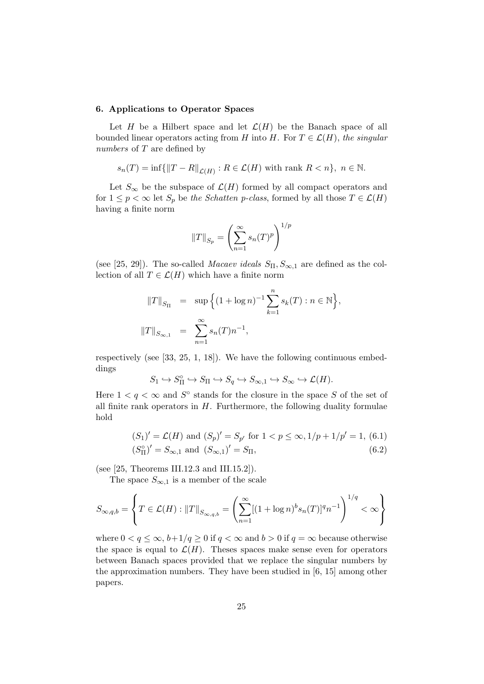### 6. Applications to Operator Spaces

Let H be a Hilbert space and let  $\mathcal{L}(H)$  be the Banach space of all bounded linear operators acting from H into H. For  $T \in \mathcal{L}(H)$ , the singular numbers of T are defined by

$$
s_n(T) = \inf \{ ||T - R||_{\mathcal{L}(H)} : R \in \mathcal{L}(H) \text{ with rank } R < n \}, \ n \in \mathbb{N}.
$$

Let  $S_{\infty}$  be the subspace of  $\mathcal{L}(H)$  formed by all compact operators and for  $1 \leq p < \infty$  let  $S_p$  be the Schatten p-class, formed by all those  $T \in \mathcal{L}(H)$ having a finite norm

$$
||T||_{S_p} = \left(\sum_{n=1}^{\infty} s_n(T)^p\right)^{1/p}
$$

(see [25, 29]). The so-called *Macaev ideals*  $S_{\Pi}$ ,  $S_{\infty,1}$  are defined as the collection of all  $T \in \mathcal{L}(H)$  which have a finite norm

$$
||T||_{S_{\Pi}} = \sup \Big\{ (1 + \log n)^{-1} \sum_{k=1}^{n} s_k(T) : n \in \mathbb{N} \Big\},
$$
  

$$
||T||_{S_{\infty,1}} = \sum_{n=1}^{\infty} s_n(T) n^{-1},
$$

respectively (see [33, 25, 1, 18]). We have the following continuous embeddings

$$
S_1 \hookrightarrow S_{\Pi}^{\circ} \hookrightarrow S_{\Pi} \hookrightarrow S_q \hookrightarrow S_{\infty,1} \hookrightarrow S_{\infty} \hookrightarrow \mathcal{L}(H).
$$

Here  $1 < q < \infty$  and  $S^{\circ}$  stands for the closure in the space S of the set of all finite rank operators in  $H$ . Furthermore, the following duality formulae hold

$$
(S_1)' = \mathcal{L}(H)
$$
 and  $(S_p)' = S_{p'}$  for  $1 < p \le \infty$ ,  $1/p + 1/p' = 1$ , (6.1)  
 $(S_{\Pi}^{\circ})' = S_{\infty,1}$  and  $(S_{\infty,1})' = S_{\Pi}$ , (6.2)

(see [25, Theorems III.12.3 and III.15.2]).

The space  $S_{\infty,1}$  is a member of the scale

$$
S_{\infty,q,b} = \left\{ T \in \mathcal{L}(H) : ||T||_{S_{\infty,q,b}} = \left( \sum_{n=1}^{\infty} [(1 + \log n)^b s_n(T)]^q n^{-1} \right)^{1/q} < \infty \right\}
$$

where  $0 < q \le \infty$ ,  $b+1/q \ge 0$  if  $q < \infty$  and  $b > 0$  if  $q = \infty$  because otherwise the space is equal to  $\mathcal{L}(H)$ . Theses spaces make sense even for operators between Banach spaces provided that we replace the singular numbers by the approximation numbers. They have been studied in [6, 15] among other papers.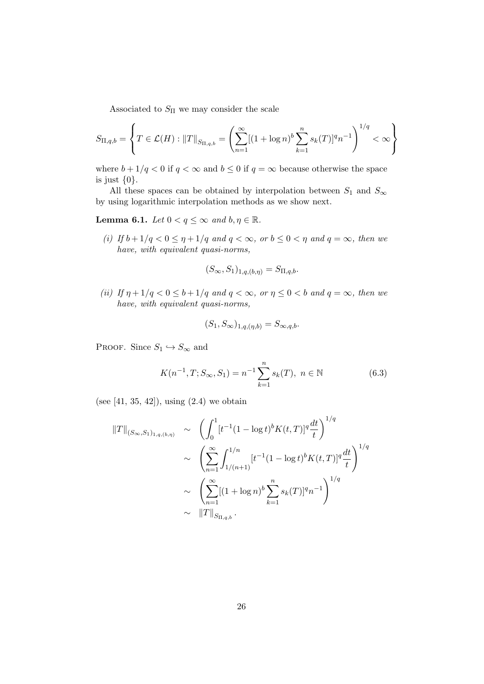Associated to  $S_{\Pi}$  we may consider the scale

$$
S_{\Pi,q,b} = \left\{ T \in \mathcal{L}(H) : ||T||_{S_{\Pi,q,b}} = \left( \sum_{n=1}^{\infty} [(1 + \log n)^b \sum_{k=1}^{n} s_k(T)]^q n^{-1} \right)^{1/q} < \infty \right\}
$$

where  $b + 1/q < 0$  if  $q < \infty$  and  $b \le 0$  if  $q = \infty$  because otherwise the space is just  $\{0\}.$ 

All these spaces can be obtained by interpolation between  $S_1$  and  $S_{\infty}$ by using logarithmic interpolation methods as we show next.

**Lemma 6.1.** Let  $0 < q \leq \infty$  and  $b, \eta \in \mathbb{R}$ .

(i) If  $b+1/q < 0 \le \eta+1/q$  and  $q < \infty$ , or  $b \le 0 < \eta$  and  $q = \infty$ , then we have, with equivalent quasi-norms,

$$
(S_{\infty}, S_1)_{1, q, (b, \eta)} = S_{\Pi, q, b}.
$$

(ii) If  $\eta + 1/q < 0 \leq b + 1/q$  and  $q < \infty$ , or  $\eta \leq 0 < b$  and  $q = \infty$ , then we have, with equivalent quasi-norms,

$$
(S_1, S_{\infty})_{1,q,(\eta,b)} = S_{\infty,q,b}.
$$

PROOF. Since  $S_1 \hookrightarrow S_{\infty}$  and

$$
K(n^{-1}, T; S_{\infty}, S_1) = n^{-1} \sum_{k=1}^n s_k(T), \ n \in \mathbb{N}
$$
 (6.3)

(see [41, 35, 42]), using  $(2.4)$  we obtain

$$
||T||_{(S_{\infty},S_{1})_{1,q,(b,\eta)}} \sim \left(\int_{0}^{1} [t^{-1}(1-\log t)^{b}K(t,T)]^{q}\frac{dt}{t}\right)^{1/q}
$$

$$
\sim \left(\sum_{n=1}^{\infty} \int_{1/(n+1)}^{1/n} [t^{-1}(1-\log t)^{b}K(t,T)]^{q}\frac{dt}{t}\right)^{1/q}
$$

$$
\sim \left(\sum_{n=1}^{\infty} [(1+\log n)^{b} \sum_{k=1}^{n} s_{k}(T)]^{q} n^{-1}\right)^{1/q}
$$

$$
\sim ||T||_{S_{\Pi,q,b}}.
$$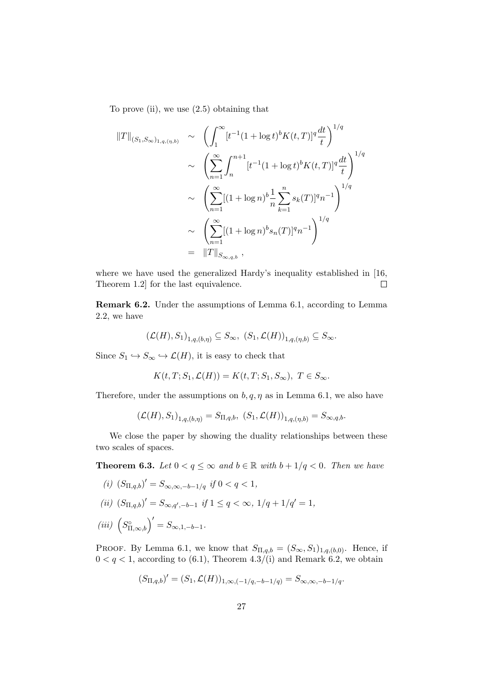To prove (ii), we use (2.5) obtaining that

$$
||T||_{(S_1, S_{\infty})_{1,q,(\eta,b)}} \sim \left( \int_1^{\infty} [t^{-1}(1+\log t)^b K(t,T)]^q \frac{dt}{t} \right)^{1/q}
$$
  
\$\sim \left( \sum\_{n=1}^{\infty} \int\_n^{n+1} [t^{-1}(1+\log t)^b K(t,T)]^q \frac{dt}{t} \right)^{1/q}\$  
\$\sim \left( \sum\_{n=1}^{\infty} [(1+\log n)^b \frac{1}{n} \sum\_{k=1}^n s\_k(T)]^q n^{-1} \right)^{1/q}\$  
\$\sim \left( \sum\_{n=1}^{\infty} [(1+\log n)^b s\_n(T)]^q n^{-1} \right)^{1/q}\$  
= ||T||\_{S\_{\infty,q,b}} ,

where we have used the generalized Hardy's inequality established in [16, Theorem 1.2] for the last equivalence.  $\Box$ 

Remark 6.2. Under the assumptions of Lemma 6.1, according to Lemma 2.2, we have

$$
(\mathcal{L}(H), S_1)_{1,q,(b,\eta)} \subseteq S_{\infty}, (S_1, \mathcal{L}(H))_{1,q,(\eta,b)} \subseteq S_{\infty}.
$$

Since  $S_1 \hookrightarrow S_\infty \hookrightarrow \mathcal{L}(H)$ , it is easy to check that

$$
K(t, T; S_1, \mathcal{L}(H)) = K(t, T; S_1, S_{\infty}), T \in S_{\infty}.
$$

Therefore, under the assumptions on  $b, q, \eta$  as in Lemma 6.1, we also have

$$
(\mathcal{L}(H), S_1)_{1, q, (b, \eta)} = S_{\Pi, q, b}, \ (S_1, \mathcal{L}(H))_{1, q, (\eta, b)} = S_{\infty, q, b}.
$$

We close the paper by showing the duality relationships between these two scales of spaces.

**Theorem 6.3.** Let  $0 < q \le \infty$  and  $b \in \mathbb{R}$  with  $b + 1/q < 0$ . Then we have

- (i)  $(S_{\Pi,q,b})' = S_{\infty,\infty,-b-1/q}$  if  $0 < q < 1$ ,
- (ii)  $(S_{\Pi,q,b})' = S_{\infty,q',-b-1}$  if  $1 \le q < \infty$ ,  $1/q + 1/q' = 1$ ,
- (iii)  $(S_{\Pi,\infty,b}^{\circ})' = S_{\infty,1,-b-1}.$

PROOF. By Lemma 6.1, we know that  $S_{\Pi,q,b} = (S_{\infty}, S_1)_{1,q,(b,0)}$ . Hence, if  $0 < q < 1$ , according to (6.1), Theorem 4.3/(i) and Remark 6.2, we obtain

$$
(S_{\Pi,q,b})' = (S_1, \mathcal{L}(H))_{1,\infty,(-1/q,-b-1/q)} = S_{\infty,\infty,-b-1/q}.
$$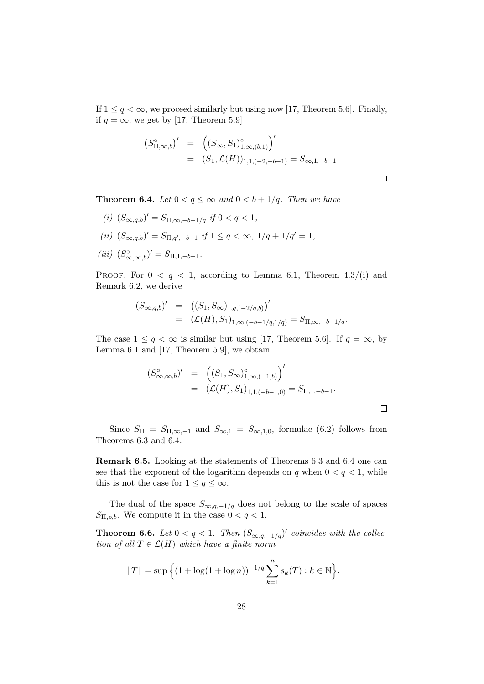If  $1 \leq q < \infty$ , we proceed similarly but using now [17, Theorem 5.6]. Finally, if  $q = \infty$ , we get by [17, Theorem 5.9]

$$
(S_{\Pi,\infty,b}^{\circ})' = ((S_{\infty}, S_1)_{1,\infty,(b,1)}^{\circ})'
$$
  
=  $(S_1, \mathcal{L}(H))_{1,1,(-2,-b-1)} = S_{\infty,1,-b-1}.$ 

 $\Box$ 

**Theorem 6.4.** Let  $0 < q \leq \infty$  and  $0 < b + 1/q$ . Then we have

- (i)  $(S_{\infty,q,b})' = S_{\Pi,\infty,-b-1/q}$  if  $0 < q < 1$ , (ii)  $(S_{\infty,q,b})' = S_{\Pi,q',-b-1}$  if  $1 \le q < \infty$ ,  $1/q + 1/q' = 1$ ,
- (*iii*)  $(S_{\infty,\infty,b}^{\circ})' = S_{\Pi,1,-b-1}.$

PROOF. For  $0 \le q \le 1$ , according to Lemma 6.1, Theorem 4.3/(i) and Remark 6.2, we derive

$$
\begin{array}{rcl}\n(S_{\infty,q,b})' & = & \left( (S_1, S_{\infty})_{1,q,(-2/q,b)} \right)' \\
& = & \left( \mathcal{L}(H), S_1 \right)_{1,\infty,(-b-1/q,1/q)} = S_{\Pi,\infty,-b-1/q}.\n\end{array}
$$

The case  $1 \leq q < \infty$  is similar but using [17, Theorem 5.6]. If  $q = \infty$ , by Lemma 6.1 and [17, Theorem 5.9], we obtain

$$
(S_{\infty,\infty,b}^{\circ})' = ((S_1, S_{\infty})_{1,\infty,(-1,b)}^{\circ})'
$$
  
=  $(\mathcal{L}(H), S_1)_{1,1,(-b-1,0)} = S_{\Pi,1,-b-1}.$ 

Since  $S_{\Pi} = S_{\Pi,\infty,-1}$  and  $S_{\infty,1} = S_{\infty,1,0}$ , formulae (6.2) follows from Theorems 6.3 and 6.4.

Remark 6.5. Looking at the statements of Theorems 6.3 and 6.4 one can see that the exponent of the logarithm depends on  $q$  when  $0 < q < 1$ , while this is not the case for  $1 \le q \le \infty$ .

The dual of the space  $S_{\infty,q,-1/q}$  does not belong to the scale of spaces  $S_{\Pi,p,b}$ . We compute it in the case  $0 < q < 1$ .

**Theorem 6.6.** Let  $0 < q < 1$ . Then  $(S_{\infty,q,-1/q})'$  coincides with the collection of all  $T \in \mathcal{L}(H)$  which have a finite norm

$$
||T|| = \sup \{ (1 + \log(1 + \log n))^{-1/q} \sum_{k=1}^{n} s_k(T) : k \in \mathbb{N} \}.
$$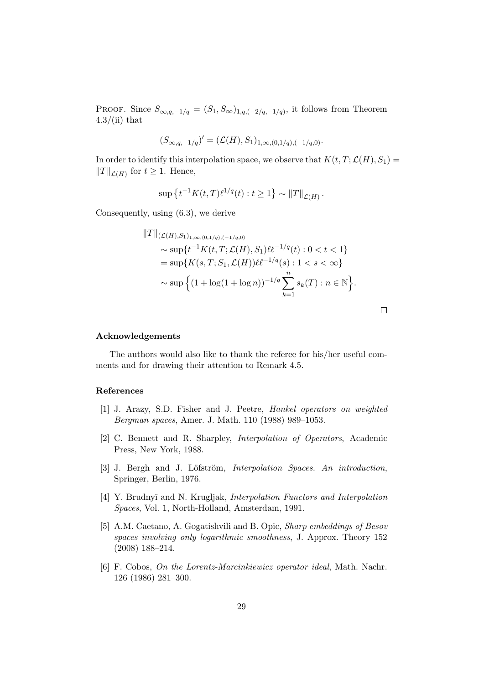PROOF. Since  $S_{\infty,q,-1/q} = (S_1, S_\infty)_{1,q,(-2/q,-1/q)}$ , it follows from Theorem  $4.3/(ii)$  that

$$
(S_{\infty,q,-1/q})' = (\mathcal{L}(H), S_1)_{1,\infty,(0,1/q),(-1/q,0)}.
$$

In order to identify this interpolation space, we observe that  $K(t, T; \mathcal{L}(H), S_1) =$  $||T||_{\mathcal{L}(H)}$  for  $t \geq 1$ . Hence,

$$
\sup \left\{ t^{-1} K(t,T) \ell^{1/q}(t) : t \ge 1 \right\} \sim ||T||_{\mathcal{L}(H)}.
$$

Consequently, using (6.3), we derive

$$
||T||_{(\mathcal{L}(H),S_1)_{1,\infty,(0,1/q),(-1/q,0)}}\sim \sup\{t^{-1}K(t,T;\mathcal{L}(H),S_1)\ell\ell^{-1/q}(t):0
$$

| I |  |  |
|---|--|--|
|   |  |  |
|   |  |  |

## Acknowledgements

The authors would also like to thank the referee for his/her useful comments and for drawing their attention to Remark 4.5.

## References

- [1] J. Arazy, S.D. Fisher and J. Peetre, Hankel operators on weighted Bergman spaces, Amer. J. Math. 110 (1988) 989–1053.
- [2] C. Bennett and R. Sharpley, Interpolation of Operators, Academic Press, New York, 1988.
- [3] J. Bergh and J. Löfström, Interpolation Spaces. An introduction, Springer, Berlin, 1976.
- [4] Y. Brudnyĭ and N. Krugljak, *Interpolation Functors and Interpolation* Spaces, Vol. 1, North-Holland, Amsterdam, 1991.
- [5] A.M. Caetano, A. Gogatishvili and B. Opic, Sharp embeddings of Besov spaces involving only logarithmic smoothness, J. Approx. Theory 152 (2008) 188–214.
- [6] F. Cobos, On the Lorentz-Marcinkiewicz operator ideal, Math. Nachr. 126 (1986) 281–300.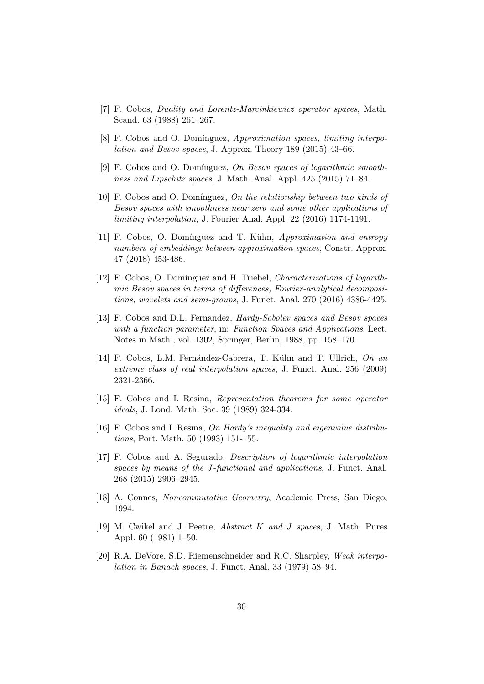- [7] F. Cobos, Duality and Lorentz-Marcinkiewicz operator spaces, Math. Scand. 63 (1988) 261–267.
- [8] F. Cobos and O. Domínguez, Approximation spaces, limiting interpolation and Besov spaces, J. Approx. Theory 189 (2015) 43–66.
- [9] F. Cobos and O. Domínguez, On Besov spaces of logarithmic smoothness and Lipschitz spaces, J. Math. Anal. Appl. 425 (2015) 71–84.
- [10] F. Cobos and O. Dom´ınguez, On the relationship between two kinds of Besov spaces with smoothness near zero and some other applications of limiting interpolation, J. Fourier Anal. Appl. 22 (2016) 1174-1191.
- [11] F. Cobos, O. Domínguez and T. Kühn, Approximation and entropy numbers of embeddings between approximation spaces, Constr. Approx. 47 (2018) 453-486.
- [12] F. Cobos, O. Domínguez and H. Triebel, *Characterizations of logarith*mic Besov spaces in terms of differences, Fourier-analytical decompositions, wavelets and semi-groups, J. Funct. Anal. 270 (2016) 4386-4425.
- [13] F. Cobos and D.L. Fernandez, Hardy-Sobolev spaces and Besov spaces with a function parameter, in: Function Spaces and Applications. Lect. Notes in Math., vol. 1302, Springer, Berlin, 1988, pp. 158–170.
- [14] F. Cobos, L.M. Fernández-Cabrera, T. Kühn and T. Ullrich, On an extreme class of real interpolation spaces, J. Funct. Anal. 256 (2009) 2321-2366.
- [15] F. Cobos and I. Resina, Representation theorems for some operator ideals, J. Lond. Math. Soc. 39 (1989) 324-334.
- [16] F. Cobos and I. Resina, On Hardy's inequality and eigenvalue distributions, Port. Math. 50 (1993) 151-155.
- [17] F. Cobos and A. Segurado, Description of logarithmic interpolation spaces by means of the J-functional and applications, J. Funct. Anal. 268 (2015) 2906–2945.
- [18] A. Connes, Noncommutative Geometry, Academic Press, San Diego, 1994.
- [19] M. Cwikel and J. Peetre, Abstract K and J spaces, J. Math. Pures Appl. 60 (1981) 1–50.
- [20] R.A. DeVore, S.D. Riemenschneider and R.C. Sharpley, Weak interpolation in Banach spaces, J. Funct. Anal. 33 (1979) 58–94.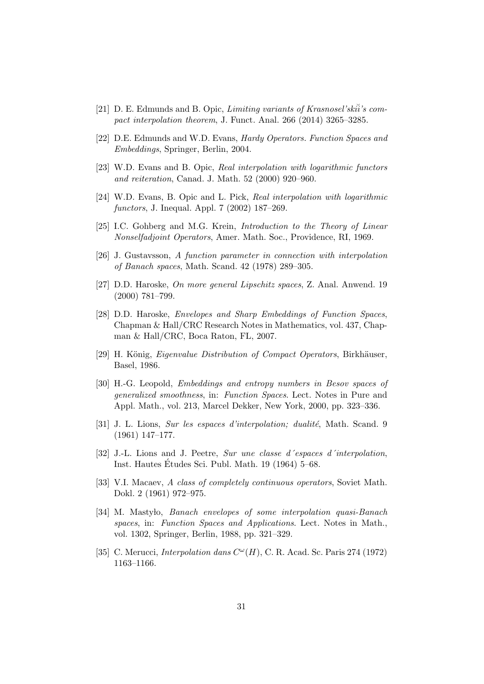- [21] D. E. Edmunds and B. Opic, *Limiting variants of Krasnosel'ski*i's compact interpolation theorem, J. Funct. Anal. 266 (2014) 3265–3285.
- [22] D.E. Edmunds and W.D. Evans, Hardy Operators. Function Spaces and Embeddings, Springer, Berlin, 2004.
- [23] W.D. Evans and B. Opic, Real interpolation with logarithmic functors and reiteration, Canad. J. Math. 52 (2000) 920–960.
- [24] W.D. Evans, B. Opic and L. Pick, Real interpolation with logarithmic functors, J. Inequal. Appl. 7 (2002) 187–269.
- [25] I.C. Gohberg and M.G. Krein, *Introduction to the Theory of Linear* Nonselfadjoint Operators, Amer. Math. Soc., Providence, RI, 1969.
- [26] J. Gustavsson, A function parameter in connection with interpolation of Banach spaces, Math. Scand. 42 (1978) 289–305.
- [27] D.D. Haroske, On more general Lipschitz spaces, Z. Anal. Anwend. 19 (2000) 781–799.
- [28] D.D. Haroske, Envelopes and Sharp Embeddings of Function Spaces, Chapman & Hall/CRC Research Notes in Mathematics, vol. 437, Chapman & Hall/CRC, Boca Raton, FL, 2007.
- [29] H. König, *Eigenvalue Distribution of Compact Operators*, Birkhäuser, Basel, 1986.
- [30] H.-G. Leopold, Embeddings and entropy numbers in Besov spaces of generalized smoothness, in: Function Spaces. Lect. Notes in Pure and Appl. Math., vol. 213, Marcel Dekker, New York, 2000, pp. 323–336.
- [31] J. L. Lions, Sur les espaces d'interpolation: dualité, Math. Scand. 9 (1961) 147–177.
- [32] J.-L. Lions and J. Peetre, Sur une classe d´espaces d´interpolation, Inst. Hautes Etudes Sci. Publ. Math. 19 (1964) 5–68. ´
- [33] V.I. Macaev, A class of completely continuous operators, Soviet Math. Dokl. 2 (1961) 972–975.
- [34] M. Mastylo, Banach envelopes of some interpolation quasi-Banach spaces, in: Function Spaces and Applications. Lect. Notes in Math., vol. 1302, Springer, Berlin, 1988, pp. 321–329.
- [35] C. Merucci, *Interpolation dans*  $C^{(\omega)}(H)$ , C. R. Acad. Sc. Paris 274 (1972) 1163–1166.